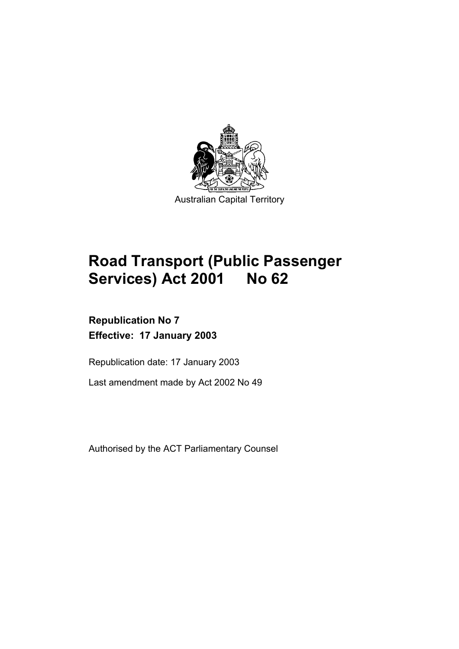

# **Road Transport (Public Passenger Services) Act 2001 No 62**

# **Republication No 7 Effective: 17 January 2003**

Republication date: 17 January 2003

Last amendment made by Act 2002 No 49

Authorised by the ACT Parliamentary Counsel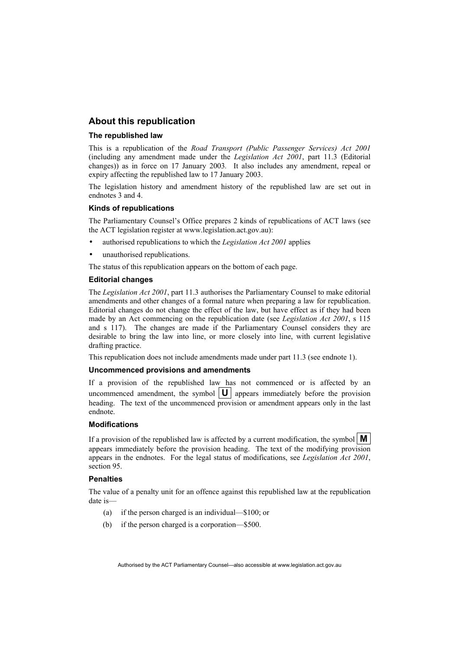#### **About this republication**

#### **The republished law**

This is a republication of the *Road Transport (Public Passenger Services) Act 2001* (including any amendment made under the *Legislation Act 2001*, part 11.3 (Editorial changes)) as in force on 17 January 2003*.* It also includes any amendment, repeal or expiry affecting the republished law to 17 January 2003.

The legislation history and amendment history of the republished law are set out in endnotes 3 and 4.

#### **Kinds of republications**

The Parliamentary Counsel's Office prepares 2 kinds of republications of ACT laws (see the ACT legislation register at www.legislation.act.gov.au):

- authorised republications to which the *Legislation Act 2001* applies
- unauthorised republications.

The status of this republication appears on the bottom of each page.

#### **Editorial changes**

The *Legislation Act 2001*, part 11.3 authorises the Parliamentary Counsel to make editorial amendments and other changes of a formal nature when preparing a law for republication. Editorial changes do not change the effect of the law, but have effect as if they had been made by an Act commencing on the republication date (see *Legislation Act 2001*, s 115 and s 117). The changes are made if the Parliamentary Counsel considers they are desirable to bring the law into line, or more closely into line, with current legislative drafting practice.

This republication does not include amendments made under part 11.3 (see endnote 1).

#### **Uncommenced provisions and amendments**

If a provision of the republished law has not commenced or is affected by an uncommenced amendment, the symbol  $|\mathbf{U}|$  appears immediately before the provision heading. The text of the uncommenced provision or amendment appears only in the last endnote.

#### **Modifications**

If a provision of the republished law is affected by a current modification, the symbol  $\mathbf{M}$ appears immediately before the provision heading. The text of the modifying provision appears in the endnotes. For the legal status of modifications, see *Legislation Act 2001*, section 95.

#### **Penalties**

The value of a penalty unit for an offence against this republished law at the republication date is—

- (a) if the person charged is an individual—\$100; or
- (b) if the person charged is a corporation—\$500.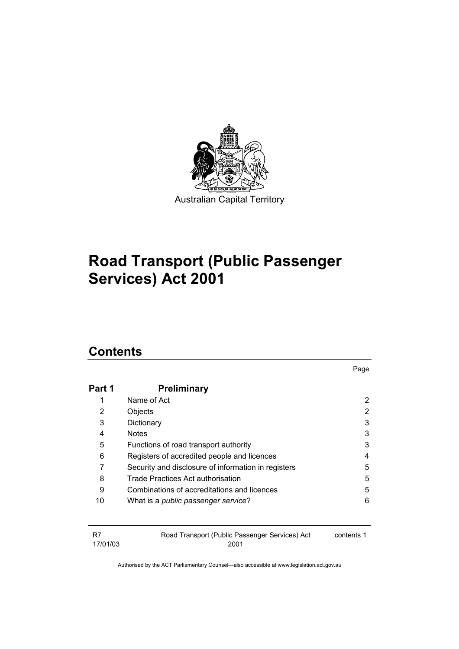

# **Road Transport (Public Passenger Services) Act 2001**

# **Contents**

|        |                                                     | Page |
|--------|-----------------------------------------------------|------|
| Part 1 | <b>Preliminary</b>                                  |      |
| 1      | Name of Act                                         | 2    |
| 2      | Objects                                             | 2    |
| 3      | Dictionary                                          | 3    |
| 4      | <b>Notes</b>                                        | 3    |
| 5      | Functions of road transport authority               | 3    |
| 6      | Registers of accredited people and licences         | 4    |
|        | Security and disclosure of information in registers | 5    |
| 8      | Trade Practices Act authorisation                   | 5    |
| 9      | Combinations of accreditations and licences         | 5    |
| 10     | What is a <i>public passenger service</i> ?         | 6    |

| -R7      | Road Transport (Public Passenger Services) Act | contents 1 |
|----------|------------------------------------------------|------------|
| 17/01/03 | 2001                                           |            |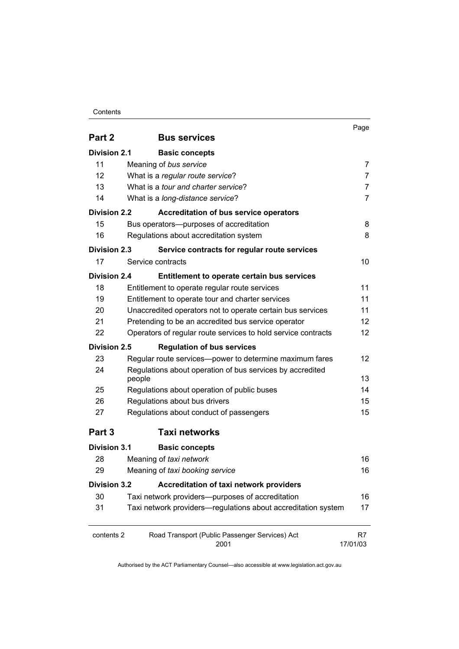#### **Contents**

|                     |                                                               |                                                               | Page              |
|---------------------|---------------------------------------------------------------|---------------------------------------------------------------|-------------------|
| Part 2              |                                                               | <b>Bus services</b>                                           |                   |
| <b>Division 2.1</b> |                                                               | <b>Basic concepts</b>                                         |                   |
| 11                  | Meaning of bus service                                        |                                                               | 7                 |
| 12                  |                                                               | What is a regular route service?                              | $\overline{7}$    |
| 13                  |                                                               | What is a <i>tour and charter service</i> ?                   | 7                 |
| 14                  |                                                               | What is a long-distance service?                              | $\overline{7}$    |
| <b>Division 2.2</b> |                                                               | <b>Accreditation of bus service operators</b>                 |                   |
| 15                  |                                                               | Bus operators---purposes of accreditation                     | 8                 |
| 16                  |                                                               | Regulations about accreditation system                        | 8                 |
| <b>Division 2.3</b> |                                                               | Service contracts for regular route services                  |                   |
| 17                  | Service contracts                                             |                                                               | 10                |
| <b>Division 2.4</b> |                                                               | Entitlement to operate certain bus services                   |                   |
| 18                  |                                                               | Entitlement to operate regular route services                 | 11                |
| 19                  |                                                               | Entitlement to operate tour and charter services              | 11                |
| 20                  |                                                               | Unaccredited operators not to operate certain bus services    | 11                |
| 21                  | Pretending to be an accredited bus service operator           | 12                                                            |                   |
| 22                  | Operators of regular route services to hold service contracts |                                                               | $12 \overline{ }$ |
| <b>Division 2.5</b> |                                                               | <b>Regulation of bus services</b>                             |                   |
| 23                  |                                                               | Regular route services-power to determine maximum fares       | 12                |
| 24                  | people                                                        | Regulations about operation of bus services by accredited     | 13                |
| 25                  |                                                               | Regulations about operation of public buses                   | 14                |
| 26                  |                                                               | Regulations about bus drivers                                 | 15                |
| 27                  |                                                               | Regulations about conduct of passengers                       | 15                |
| Part 3              |                                                               | <b>Taxi networks</b>                                          |                   |
| <b>Division 3.1</b> |                                                               | <b>Basic concepts</b>                                         |                   |
| 28                  | Meaning of taxi network                                       |                                                               | 16                |
| 29                  |                                                               | Meaning of taxi booking service                               | 16                |
| <b>Division 3.2</b> |                                                               | Accreditation of taxi network providers                       |                   |
| 30                  |                                                               | Taxi network providers--purposes of accreditation             | 16                |
| 31                  |                                                               | Taxi network providers-regulations about accreditation system | 17                |
| contents 2          |                                                               | Road Transport (Public Passenger Services) Act<br>2001        | R7<br>17/01/03    |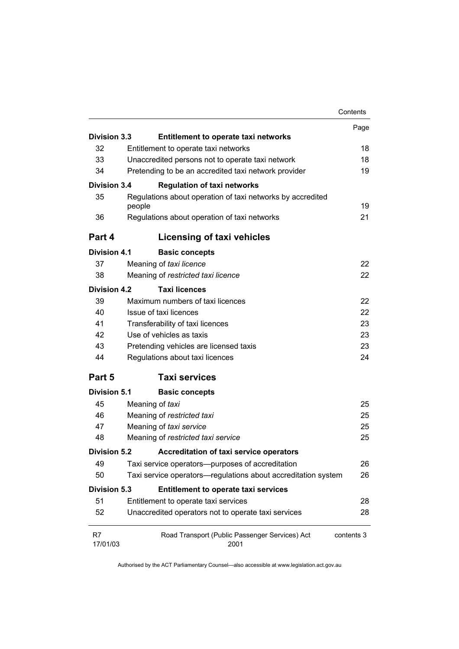|                     |                                                                      | Contents   |
|---------------------|----------------------------------------------------------------------|------------|
|                     |                                                                      | Page       |
| Division 3.3        | <b>Entitlement to operate taxi networks</b>                          |            |
| 32                  | Entitlement to operate taxi networks                                 | 18         |
| 33                  | Unaccredited persons not to operate taxi network                     | 18         |
| 34                  | Pretending to be an accredited taxi network provider                 | 19         |
| <b>Division 3.4</b> | <b>Regulation of taxi networks</b>                                   |            |
| 35                  | Regulations about operation of taxi networks by accredited<br>people | 19         |
| 36                  | Regulations about operation of taxi networks                         | 21         |
| Part 4              | Licensing of taxi vehicles                                           |            |
| Division 4.1        | <b>Basic concepts</b>                                                |            |
| 37                  | Meaning of taxi licence                                              | 22         |
| 38                  | Meaning of restricted taxi licence                                   | 22         |
| <b>Division 4.2</b> | <b>Taxi licences</b>                                                 |            |
| 39                  | Maximum numbers of taxi licences                                     | 22         |
| 40                  | Issue of taxi licences                                               | 22         |
| 41                  | Transferability of taxi licences                                     | 23         |
| 42                  | Use of vehicles as taxis                                             | 23         |
| 43                  | Pretending vehicles are licensed taxis                               | 23         |
| 44                  | Regulations about taxi licences                                      | 24         |
| Part 5              | <b>Taxi services</b>                                                 |            |
| <b>Division 5.1</b> | <b>Basic concepts</b>                                                |            |
| 45                  | Meaning of taxi                                                      | 25         |
| 46                  | Meaning of restricted taxi                                           | 25         |
| 47                  | Meaning of taxi service                                              | 25         |
| 48                  | Meaning of restricted taxi service                                   | 25         |
| <b>Division 5.2</b> | Accreditation of taxi service operators                              |            |
| 49                  | Taxi service operators--purposes of accreditation                    | 26         |
| 50                  | Taxi service operators—regulations about accreditation system        | 26         |
| <b>Division 5.3</b> | <b>Entitlement to operate taxi services</b>                          |            |
| 51                  | Entitlement to operate taxi services                                 | 28         |
| 52                  | Unaccredited operators not to operate taxi services                  | 28         |
| R7<br>17/01/03      | Road Transport (Public Passenger Services) Act<br>2001               | contents 3 |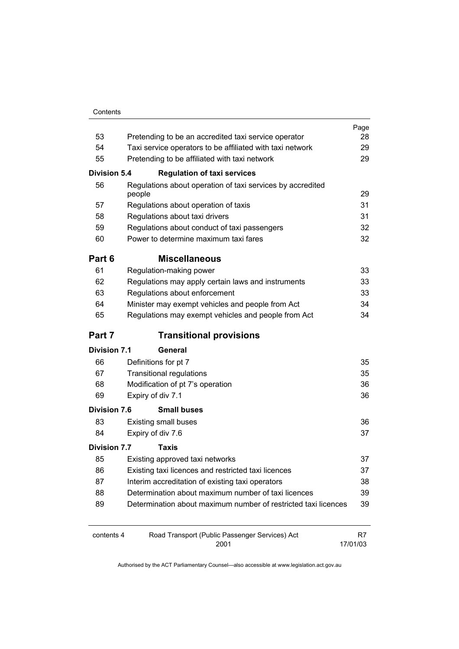| Contents |
|----------|
|          |

|                     |                                                                      | Page     |
|---------------------|----------------------------------------------------------------------|----------|
| 53                  | Pretending to be an accredited taxi service operator                 | 28       |
| 54                  | Taxi service operators to be affiliated with taxi network            | 29       |
| 55                  | Pretending to be affiliated with taxi network                        | 29       |
| <b>Division 5.4</b> | <b>Regulation of taxi services</b>                                   |          |
| 56                  | Regulations about operation of taxi services by accredited<br>people | 29       |
| 57                  | Regulations about operation of taxis                                 | 31       |
| 58                  | Regulations about taxi drivers                                       | 31       |
| 59                  | Regulations about conduct of taxi passengers                         | 32       |
| 60                  | Power to determine maximum taxi fares                                | 32       |
| Part 6              | <b>Miscellaneous</b>                                                 |          |
| 61                  | Regulation-making power                                              | 33       |
| 62                  | Regulations may apply certain laws and instruments                   | 33       |
| 63                  | Regulations about enforcement                                        | 33       |
| 64                  | Minister may exempt vehicles and people from Act                     | 34       |
| 65                  | Regulations may exempt vehicles and people from Act                  | 34       |
| Part 7              | <b>Transitional provisions</b>                                       |          |
| <b>Division 7.1</b> | General                                                              |          |
| 66                  | Definitions for pt 7                                                 | 35       |
| 67                  | <b>Transitional regulations</b>                                      | 35       |
| 68                  | Modification of pt 7's operation                                     | 36       |
| 69                  | Expiry of div 7.1                                                    | 36       |
| <b>Division 7.6</b> | <b>Small buses</b>                                                   |          |
| 83                  | <b>Existing small buses</b>                                          | 36       |
| 84                  | Expiry of div 7.6                                                    | 37       |
| <b>Division 7.7</b> | Taxis                                                                |          |
| 85                  | Existing approved taxi networks                                      | 37       |
| 86                  | Existing taxi licences and restricted taxi licences                  | 37       |
| 87                  | Interim accreditation of existing taxi operators                     | 38       |
| 88                  | Determination about maximum number of taxi licences                  | 39       |
| 89                  | Determination about maximum number of restricted taxi licences       | 39       |
| contents 4          | Road Transport (Public Passenger Services) Act                       | R7       |
|                     | 2001                                                                 | 17/01/03 |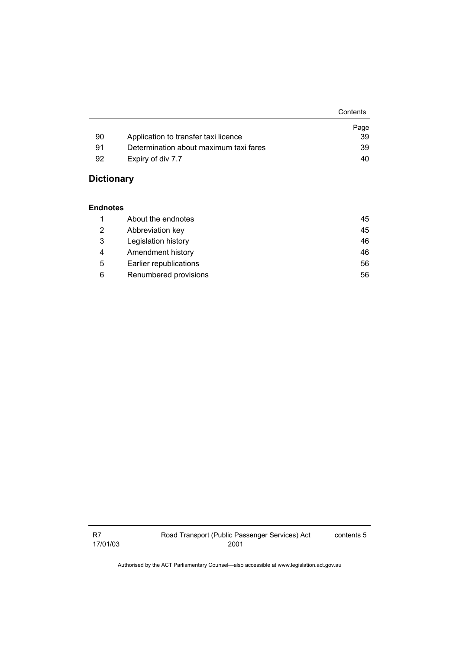|    |                                        | Contents |
|----|----------------------------------------|----------|
|    |                                        | Page     |
| 90 | Application to transfer taxi licence   | 39       |
| 91 | Determination about maximum taxi fares | 39       |
| 92 | Expiry of div 7.7                      | 40       |

# **Dictionary**

#### **Endnotes**

|   | About the endnotes     | 45 |
|---|------------------------|----|
| 2 | Abbreviation key       | 45 |
| 3 | Legislation history    | 46 |
| 4 | Amendment history      | 46 |
| 5 | Earlier republications | 56 |
| 6 | Renumbered provisions  | 56 |

R7 17/01/03 contents 5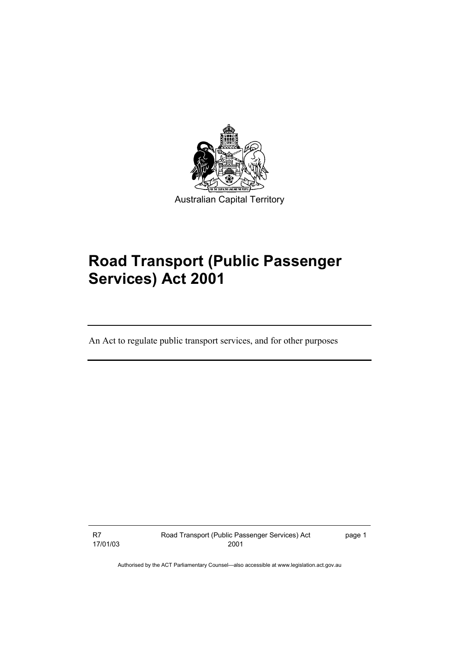

# **Road Transport (Public Passenger Services) Act 2001**

An Act to regulate public transport services, and for other purposes

R7 17/01/03 Road Transport (Public Passenger Services) Act 2001

page 1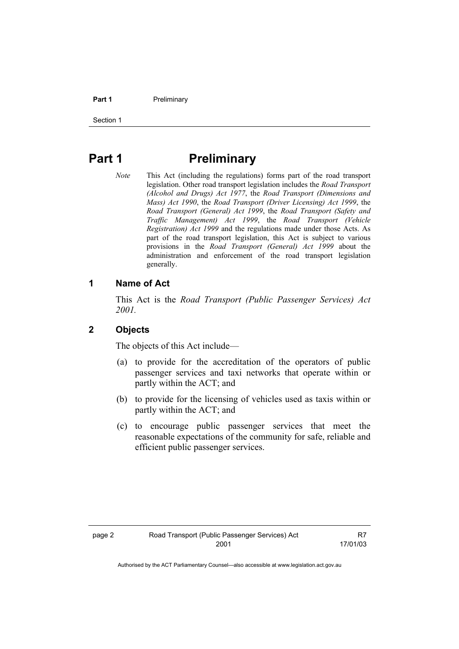#### **Part 1** Preliminary

Section 1

# **Part 1** Preliminary

*Note* This Act (including the regulations) forms part of the road transport legislation. Other road transport legislation includes the *Road Transport (Alcohol and Drugs) Act 1977*, the *Road Transport (Dimensions and Mass) Act 1990*, the *Road Transport (Driver Licensing) Act 1999*, the *Road Transport (General) Act 1999*, the *Road Transport (Safety and Traffic Management) Act 1999*, the *Road Transport (Vehicle Registration) Act 1999* and the regulations made under those Acts. As part of the road transport legislation, this Act is subject to various provisions in the *Road Transport (General) Act 1999* about the administration and enforcement of the road transport legislation generally.

# **1 Name of Act**

This Act is the *Road Transport (Public Passenger Services) Act 2001.* 

#### **2 Objects**

The objects of this Act include—

- (a) to provide for the accreditation of the operators of public passenger services and taxi networks that operate within or partly within the ACT; and
- (b) to provide for the licensing of vehicles used as taxis within or partly within the ACT; and
- (c) to encourage public passenger services that meet the reasonable expectations of the community for safe, reliable and efficient public passenger services.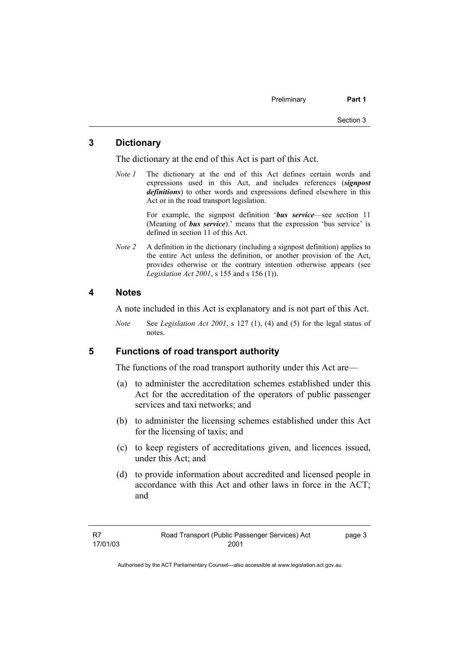# **3 Dictionary**

The dictionary at the end of this Act is part of this Act.

*Note 1* The dictionary at the end of this Act defines certain words and expressions used in this Act, and includes references (*signpost definitions*) to other words and expressions defined elsewhere in this Act or in the road transport legislation.

> For example, the signpost definition '*bus service*—see section 11 (Meaning of *bus service*).' means that the expression 'bus service' is defined in section 11 of this Act.

*Note 2* A definition in the dictionary (including a signpost definition) applies to the entire Act unless the definition, or another provision of the Act, provides otherwise or the contrary intention otherwise appears (see *Legislation Act 2001*, s 155 and s 156 (1)).

#### **4 Notes**

A note included in this Act is explanatory and is not part of this Act.

*Note* See *Legislation Act 2001*, s 127 (1), (4) and (5) for the legal status of notes.

#### **5 Functions of road transport authority**

The functions of the road transport authority under this Act are—

- (a) to administer the accreditation schemes established under this Act for the accreditation of the operators of public passenger services and taxi networks; and
- (b) to administer the licensing schemes established under this Act for the licensing of taxis; and
- (c) to keep registers of accreditations given, and licences issued, under this Act; and
- (d) to provide information about accredited and licensed people in accordance with this Act and other laws in force in the ACT; and

page 3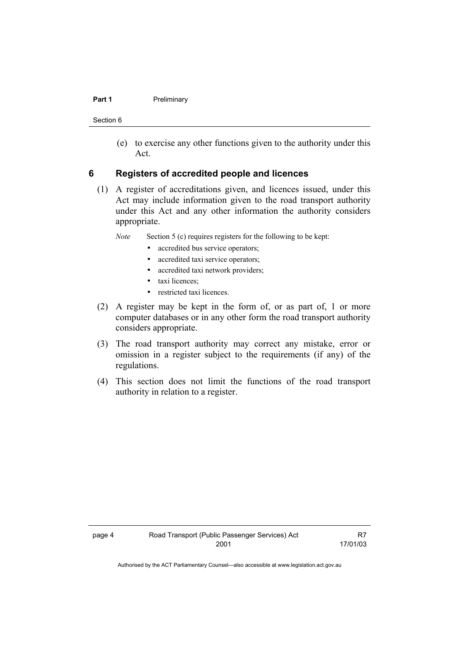#### **Part 1** Preliminary

Section 6

 (e) to exercise any other functions given to the authority under this Act.

#### **6 Registers of accredited people and licences**

 (1) A register of accreditations given, and licences issued, under this Act may include information given to the road transport authority under this Act and any other information the authority considers appropriate.

*Note* Section 5 (c) requires registers for the following to be kept:

- accredited bus service operators;
- accredited taxi service operators;
- accredited taxi network providers;
- taxi licences;
- restricted taxi licences.
- (2) A register may be kept in the form of, or as part of, 1 or more computer databases or in any other form the road transport authority considers appropriate.
- (3) The road transport authority may correct any mistake, error or omission in a register subject to the requirements (if any) of the regulations.
- (4) This section does not limit the functions of the road transport authority in relation to a register.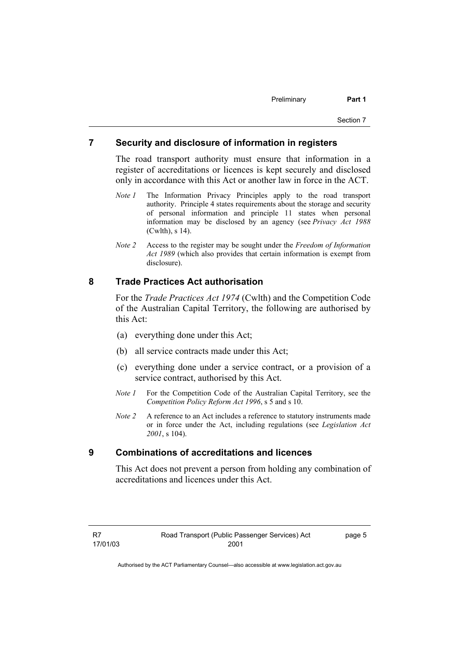#### **7 Security and disclosure of information in registers**

The road transport authority must ensure that information in a register of accreditations or licences is kept securely and disclosed only in accordance with this Act or another law in force in the ACT.

- *Note 1* The Information Privacy Principles apply to the road transport authority. Principle 4 states requirements about the storage and security of personal information and principle 11 states when personal information may be disclosed by an agency (see *Privacy Act 1988* (Cwlth), s 14).
- *Note 2* Access to the register may be sought under the *Freedom of Information Act 1989* (which also provides that certain information is exempt from disclosure).

# **8 Trade Practices Act authorisation**

For the *Trade Practices Act 1974* (Cwlth) and the Competition Code of the Australian Capital Territory, the following are authorised by this Act:

- (a) everything done under this Act;
- (b) all service contracts made under this Act;
- (c) everything done under a service contract, or a provision of a service contract, authorised by this Act.
- *Note 1* For the Competition Code of the Australian Capital Territory, see the *Competition Policy Reform Act 1996*, s 5 and s 10.
- *Note 2* A reference to an Act includes a reference to statutory instruments made or in force under the Act, including regulations (see *Legislation Act 2001*, s 104).

#### **9 Combinations of accreditations and licences**

This Act does not prevent a person from holding any combination of accreditations and licences under this Act.

page 5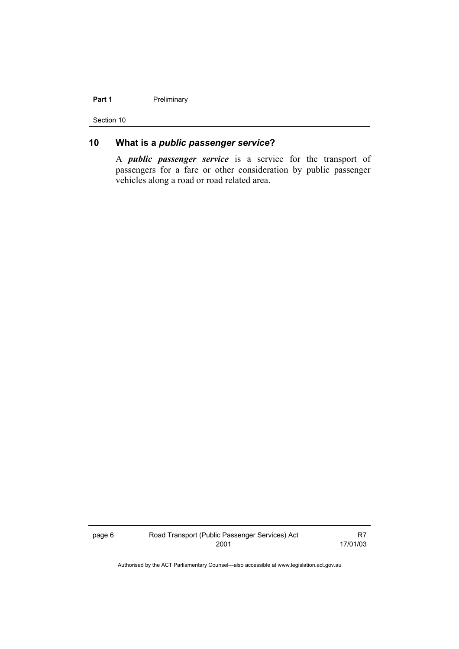#### Part 1 **Preliminary**

Section 10

# **10 What is a** *public passenger service***?**

A *public passenger service* is a service for the transport of passengers for a fare or other consideration by public passenger vehicles along a road or road related area.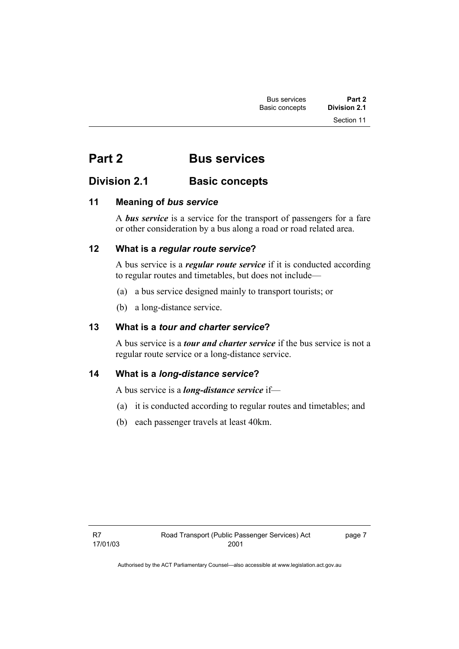# **Part 2 Bus services**

# **Division 2.1 Basic concepts**

# **11 Meaning of** *bus service*

A *bus service* is a service for the transport of passengers for a fare or other consideration by a bus along a road or road related area.

# **12 What is a** *regular route service***?**

A bus service is a *regular route service* if it is conducted according to regular routes and timetables, but does not include—

- (a) a bus service designed mainly to transport tourists; or
- (b) a long-distance service.

# **13 What is a** *tour and charter service***?**

A bus service is a *tour and charter service* if the bus service is not a regular route service or a long-distance service.

# **14 What is a** *long-distance service***?**

A bus service is a *long-distance service* if—

- (a) it is conducted according to regular routes and timetables; and
- (b) each passenger travels at least 40km.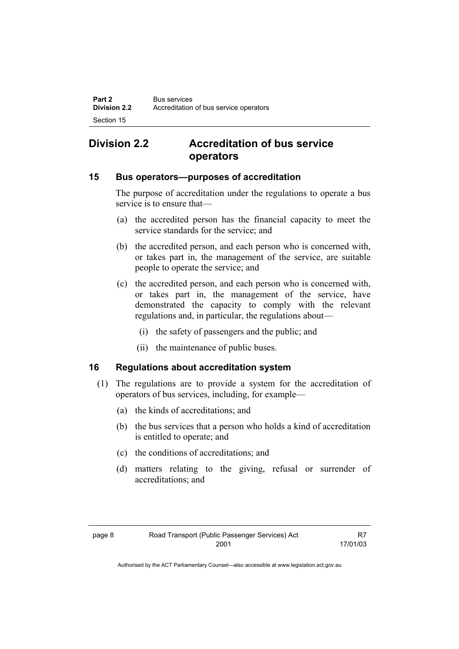# **Division 2.2 Accreditation of bus service operators**

### **15 Bus operators—purposes of accreditation**

The purpose of accreditation under the regulations to operate a bus service is to ensure that—

- (a) the accredited person has the financial capacity to meet the service standards for the service; and
- (b) the accredited person, and each person who is concerned with, or takes part in, the management of the service, are suitable people to operate the service; and
- (c) the accredited person, and each person who is concerned with, or takes part in, the management of the service, have demonstrated the capacity to comply with the relevant regulations and, in particular, the regulations about—
	- (i) the safety of passengers and the public; and
	- (ii) the maintenance of public buses.

# **16 Regulations about accreditation system**

- (1) The regulations are to provide a system for the accreditation of operators of bus services, including, for example—
	- (a) the kinds of accreditations; and
	- (b) the bus services that a person who holds a kind of accreditation is entitled to operate; and
	- (c) the conditions of accreditations; and
	- (d) matters relating to the giving, refusal or surrender of accreditations; and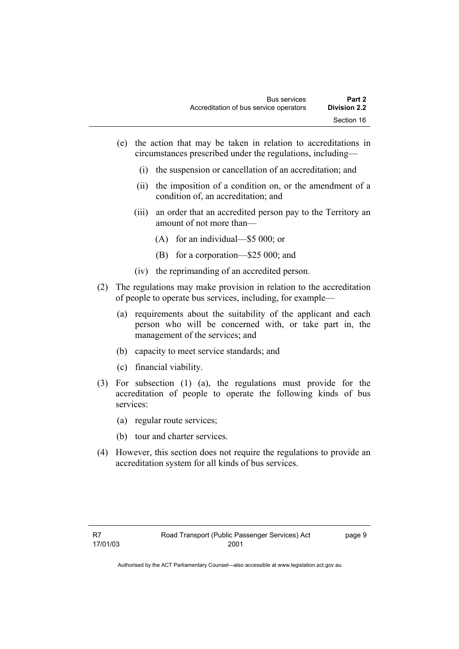- (e) the action that may be taken in relation to accreditations in circumstances prescribed under the regulations, including—
	- (i) the suspension or cancellation of an accreditation; and
	- (ii) the imposition of a condition on, or the amendment of a condition of, an accreditation; and
	- (iii) an order that an accredited person pay to the Territory an amount of not more than—
		- (A) for an individual—\$5 000; or
		- (B) for a corporation—\$25 000; and
	- (iv) the reprimanding of an accredited person.
- (2) The regulations may make provision in relation to the accreditation of people to operate bus services, including, for example—
	- (a) requirements about the suitability of the applicant and each person who will be concerned with, or take part in, the management of the services; and
	- (b) capacity to meet service standards; and
	- (c) financial viability.
- (3) For subsection (1) (a), the regulations must provide for the accreditation of people to operate the following kinds of bus services:
	- (a) regular route services;
	- (b) tour and charter services.
- (4) However, this section does not require the regulations to provide an accreditation system for all kinds of bus services.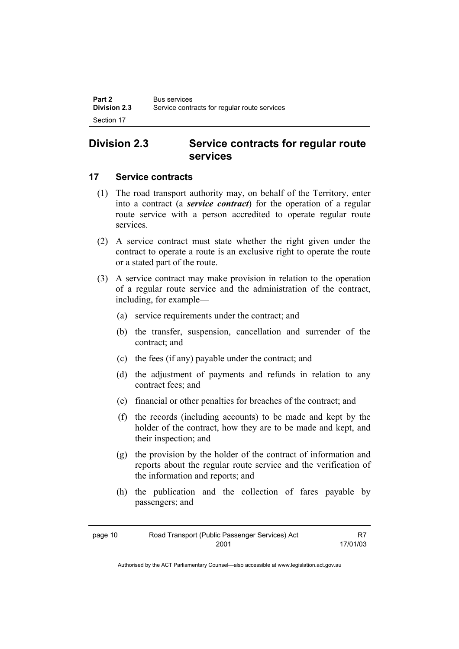# **Division 2.3 Service contracts for regular route services**

### **17 Service contracts**

- (1) The road transport authority may, on behalf of the Territory, enter into a contract (a *service contract*) for the operation of a regular route service with a person accredited to operate regular route services.
- (2) A service contract must state whether the right given under the contract to operate a route is an exclusive right to operate the route or a stated part of the route.
- (3) A service contract may make provision in relation to the operation of a regular route service and the administration of the contract, including, for example—
	- (a) service requirements under the contract; and
	- (b) the transfer, suspension, cancellation and surrender of the contract; and
	- (c) the fees (if any) payable under the contract; and
	- (d) the adjustment of payments and refunds in relation to any contract fees; and
	- (e) financial or other penalties for breaches of the contract; and
	- (f) the records (including accounts) to be made and kept by the holder of the contract, how they are to be made and kept, and their inspection; and
	- (g) the provision by the holder of the contract of information and reports about the regular route service and the verification of the information and reports; and
	- (h) the publication and the collection of fares payable by passengers; and

| page 10 | Road Transport (Public Passenger Services) Act |          |
|---------|------------------------------------------------|----------|
|         | 2001                                           | 17/01/03 |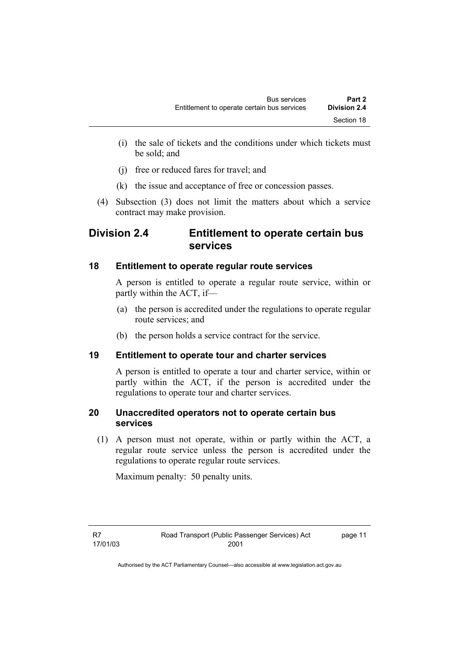- (i) the sale of tickets and the conditions under which tickets must be sold; and
- (j) free or reduced fares for travel; and
- (k) the issue and acceptance of free or concession passes.
- (4) Subsection (3) does not limit the matters about which a service contract may make provision.

# **Division 2.4 Entitlement to operate certain bus services**

# **18 Entitlement to operate regular route services**

A person is entitled to operate a regular route service, within or partly within the ACT, if—

- (a) the person is accredited under the regulations to operate regular route services; and
- (b) the person holds a service contract for the service.

# **19 Entitlement to operate tour and charter services**

A person is entitled to operate a tour and charter service, within or partly within the ACT, if the person is accredited under the regulations to operate tour and charter services.

# **20 Unaccredited operators not to operate certain bus services**

 (1) A person must not operate, within or partly within the ACT, a regular route service unless the person is accredited under the regulations to operate regular route services.

Maximum penalty: 50 penalty units.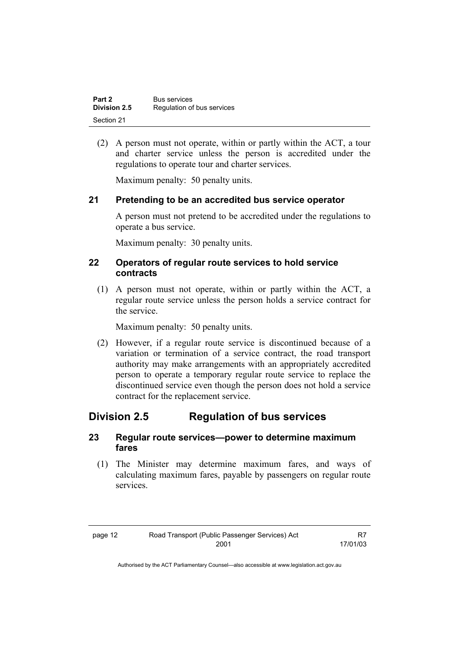| Part 2       | <b>Bus services</b>        |
|--------------|----------------------------|
| Division 2.5 | Regulation of bus services |
| Section 21   |                            |

 (2) A person must not operate, within or partly within the ACT, a tour and charter service unless the person is accredited under the regulations to operate tour and charter services.

Maximum penalty: 50 penalty units.

### **21 Pretending to be an accredited bus service operator**

A person must not pretend to be accredited under the regulations to operate a bus service.

Maximum penalty: 30 penalty units.

#### **22 Operators of regular route services to hold service contracts**

 (1) A person must not operate, within or partly within the ACT, a regular route service unless the person holds a service contract for the service.

Maximum penalty: 50 penalty units.

 (2) However, if a regular route service is discontinued because of a variation or termination of a service contract, the road transport authority may make arrangements with an appropriately accredited person to operate a temporary regular route service to replace the discontinued service even though the person does not hold a service contract for the replacement service.

# **Division 2.5 Regulation of bus services**

#### **23 Regular route services—power to determine maximum fares**

 (1) The Minister may determine maximum fares, and ways of calculating maximum fares, payable by passengers on regular route services.

| page 12 | Road Transport (Public Passenger Services) Act | R7       |
|---------|------------------------------------------------|----------|
|         | 2001                                           | 17/01/03 |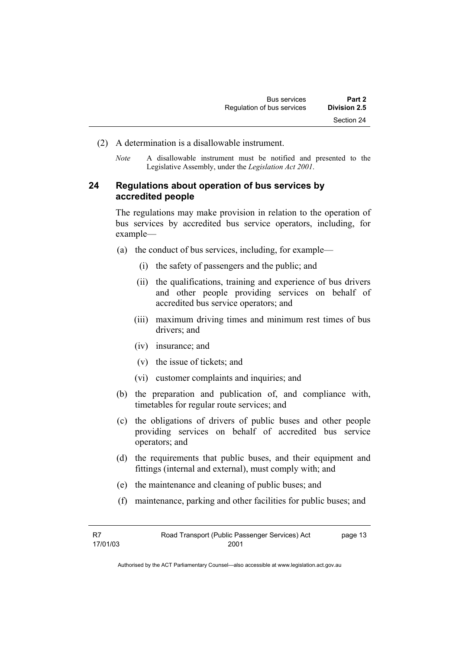- (2) A determination is a disallowable instrument.
	- *Note* A disallowable instrument must be notified and presented to the Legislative Assembly, under the *Legislation Act 2001*.

### **24 Regulations about operation of bus services by accredited people**

The regulations may make provision in relation to the operation of bus services by accredited bus service operators, including, for example—

- (a) the conduct of bus services, including, for example—
	- (i) the safety of passengers and the public; and
	- (ii) the qualifications, training and experience of bus drivers and other people providing services on behalf of accredited bus service operators; and
	- (iii) maximum driving times and minimum rest times of bus drivers; and
	- (iv) insurance; and
	- (v) the issue of tickets; and
	- (vi) customer complaints and inquiries; and
- (b) the preparation and publication of, and compliance with, timetables for regular route services; and
- (c) the obligations of drivers of public buses and other people providing services on behalf of accredited bus service operators; and
- (d) the requirements that public buses, and their equipment and fittings (internal and external), must comply with; and
- (e) the maintenance and cleaning of public buses; and
- (f) maintenance, parking and other facilities for public buses; and

| -R7      | Road Transport (Public Passenger Services) Act | page 13 |
|----------|------------------------------------------------|---------|
| 17/01/03 | 2001                                           |         |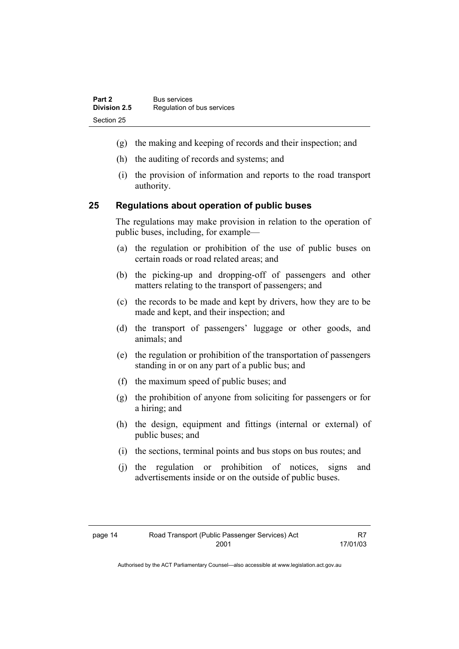- (g) the making and keeping of records and their inspection; and
- (h) the auditing of records and systems; and
- (i) the provision of information and reports to the road transport authority.

### **25 Regulations about operation of public buses**

The regulations may make provision in relation to the operation of public buses, including, for example—

- (a) the regulation or prohibition of the use of public buses on certain roads or road related areas; and
- (b) the picking-up and dropping-off of passengers and other matters relating to the transport of passengers; and
- (c) the records to be made and kept by drivers, how they are to be made and kept, and their inspection; and
- (d) the transport of passengers' luggage or other goods, and animals; and
- (e) the regulation or prohibition of the transportation of passengers standing in or on any part of a public bus; and
- (f) the maximum speed of public buses; and
- (g) the prohibition of anyone from soliciting for passengers or for a hiring; and
- (h) the design, equipment and fittings (internal or external) of public buses; and
- (i) the sections, terminal points and bus stops on bus routes; and
- (j) the regulation or prohibition of notices, signs and advertisements inside or on the outside of public buses.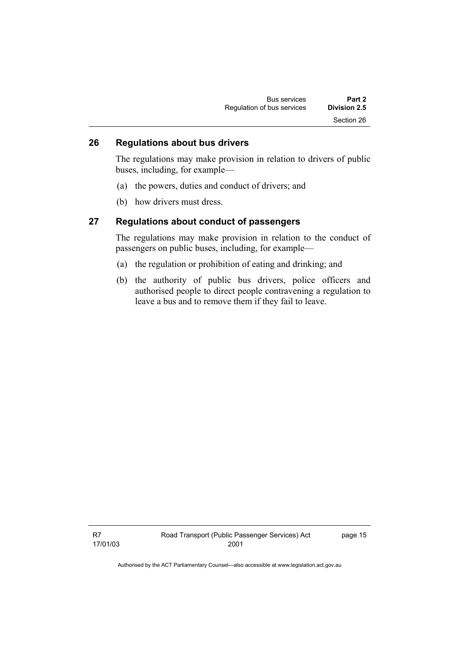| <b>Bus services</b>        | Part 2       |  |
|----------------------------|--------------|--|
| Regulation of bus services | Division 2.5 |  |
|                            | Section 26   |  |

# **26 Regulations about bus drivers**

The regulations may make provision in relation to drivers of public buses, including, for example—

- (a) the powers, duties and conduct of drivers; and
- (b) how drivers must dress.

#### **27 Regulations about conduct of passengers**

The regulations may make provision in relation to the conduct of passengers on public buses, including, for example—

- (a) the regulation or prohibition of eating and drinking; and
- (b) the authority of public bus drivers, police officers and authorised people to direct people contravening a regulation to leave a bus and to remove them if they fail to leave.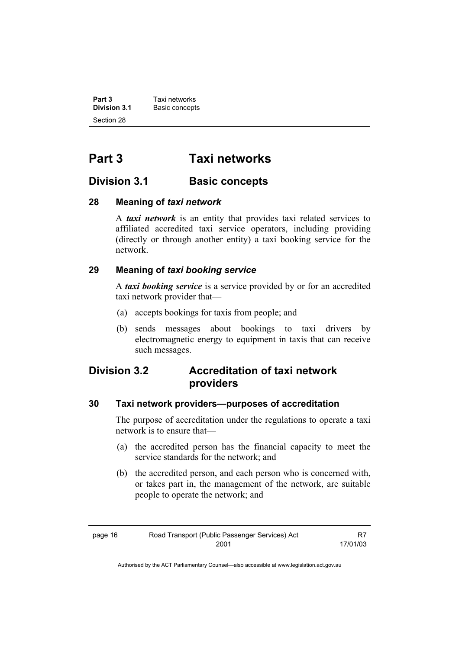**Part 3 Taxi networks**<br> **Division 3.1 Basic concepts Basic concepts** Section 28

# **Part 3 Taxi networks**

# **Division 3.1 Basic concepts**

### **28 Meaning of** *taxi network*

A *taxi network* is an entity that provides taxi related services to affiliated accredited taxi service operators, including providing (directly or through another entity) a taxi booking service for the network.

# **29 Meaning of** *taxi booking service*

A *taxi booking service* is a service provided by or for an accredited taxi network provider that—

- (a) accepts bookings for taxis from people; and
- (b) sends messages about bookings to taxi drivers by electromagnetic energy to equipment in taxis that can receive such messages.

# **Division 3.2 Accreditation of taxi network providers**

# **30 Taxi network providers—purposes of accreditation**

The purpose of accreditation under the regulations to operate a taxi network is to ensure that—

- (a) the accredited person has the financial capacity to meet the service standards for the network; and
- (b) the accredited person, and each person who is concerned with, or takes part in, the management of the network, are suitable people to operate the network; and

| page 16 | Road Transport (Public Passenger Services) Act | R7       |
|---------|------------------------------------------------|----------|
|         | 2001                                           | 17/01/03 |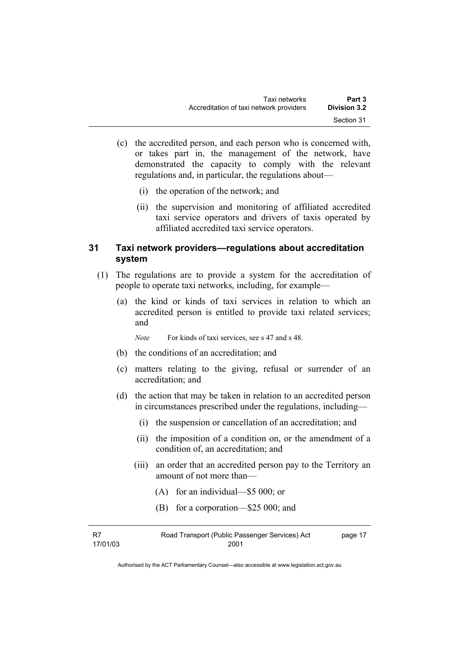- (c) the accredited person, and each person who is concerned with, or takes part in, the management of the network, have demonstrated the capacity to comply with the relevant regulations and, in particular, the regulations about—
	- (i) the operation of the network; and
	- (ii) the supervision and monitoring of affiliated accredited taxi service operators and drivers of taxis operated by affiliated accredited taxi service operators.

### **31 Taxi network providers—regulations about accreditation system**

- (1) The regulations are to provide a system for the accreditation of people to operate taxi networks, including, for example—
	- (a) the kind or kinds of taxi services in relation to which an accredited person is entitled to provide taxi related services; and

*Note* For kinds of taxi services, see s 47 and s 48.

- (b) the conditions of an accreditation; and
- (c) matters relating to the giving, refusal or surrender of an accreditation; and
- (d) the action that may be taken in relation to an accredited person in circumstances prescribed under the regulations, including—
	- (i) the suspension or cancellation of an accreditation; and
	- (ii) the imposition of a condition on, or the amendment of a condition of, an accreditation; and
	- (iii) an order that an accredited person pay to the Territory an amount of not more than—
		- (A) for an individual—\$5 000; or
		- (B) for a corporation—\$25 000; and

| - R7     | Road Transport (Public Passenger Services) Act | page 17 |
|----------|------------------------------------------------|---------|
| 17/01/03 | 2001                                           |         |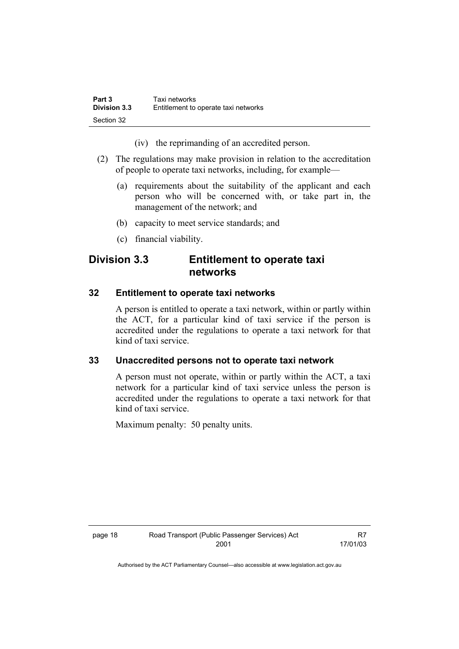| Part 3              | Taxi networks                        |
|---------------------|--------------------------------------|
| <b>Division 3.3</b> | Entitlement to operate taxi networks |
| Section 32          |                                      |

(iv) the reprimanding of an accredited person.

- (2) The regulations may make provision in relation to the accreditation of people to operate taxi networks, including, for example—
	- (a) requirements about the suitability of the applicant and each person who will be concerned with, or take part in, the management of the network; and
	- (b) capacity to meet service standards; and
	- (c) financial viability.

# **Division 3.3 Entitlement to operate taxi networks**

#### **32 Entitlement to operate taxi networks**

A person is entitled to operate a taxi network, within or partly within the ACT, for a particular kind of taxi service if the person is accredited under the regulations to operate a taxi network for that kind of taxi service.

#### **33 Unaccredited persons not to operate taxi network**

A person must not operate, within or partly within the ACT, a taxi network for a particular kind of taxi service unless the person is accredited under the regulations to operate a taxi network for that kind of taxi service.

Maximum penalty: 50 penalty units.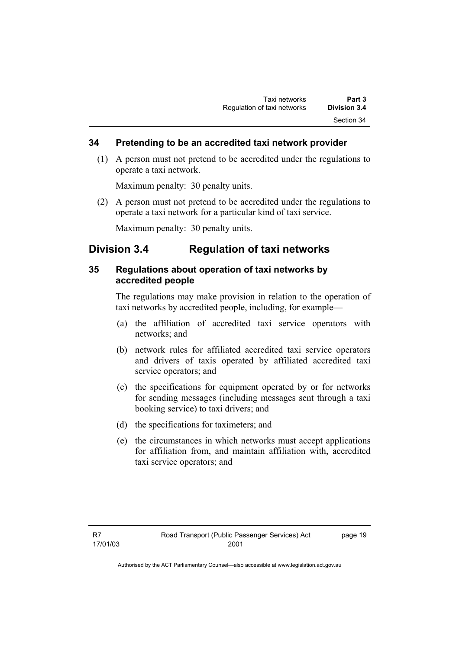#### **34 Pretending to be an accredited taxi network provider**

 (1) A person must not pretend to be accredited under the regulations to operate a taxi network.

Maximum penalty: 30 penalty units.

 (2) A person must not pretend to be accredited under the regulations to operate a taxi network for a particular kind of taxi service.

Maximum penalty: 30 penalty units.

# **Division 3.4 Regulation of taxi networks**

### **35 Regulations about operation of taxi networks by accredited people**

The regulations may make provision in relation to the operation of taxi networks by accredited people, including, for example—

- (a) the affiliation of accredited taxi service operators with networks; and
- (b) network rules for affiliated accredited taxi service operators and drivers of taxis operated by affiliated accredited taxi service operators; and
- (c) the specifications for equipment operated by or for networks for sending messages (including messages sent through a taxi booking service) to taxi drivers; and
- (d) the specifications for taximeters; and
- (e) the circumstances in which networks must accept applications for affiliation from, and maintain affiliation with, accredited taxi service operators; and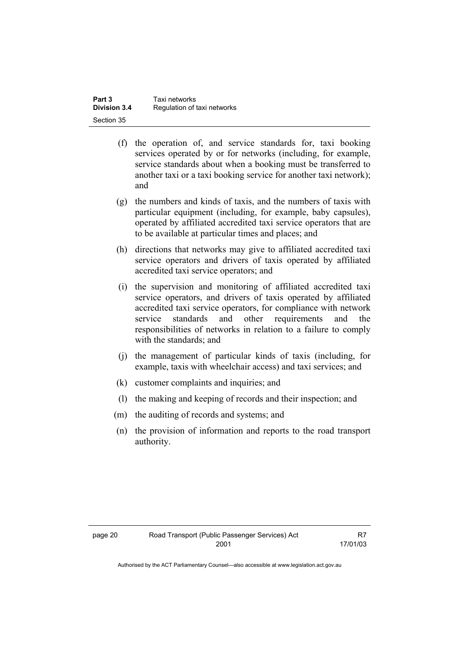| Taxi networks<br>Part 3 |                             |
|-------------------------|-----------------------------|
| <b>Division 3.4</b>     | Regulation of taxi networks |
| Section 35              |                             |

- (f) the operation of, and service standards for, taxi booking services operated by or for networks (including, for example, service standards about when a booking must be transferred to another taxi or a taxi booking service for another taxi network); and
- (g) the numbers and kinds of taxis, and the numbers of taxis with particular equipment (including, for example, baby capsules), operated by affiliated accredited taxi service operators that are to be available at particular times and places; and
- (h) directions that networks may give to affiliated accredited taxi service operators and drivers of taxis operated by affiliated accredited taxi service operators; and
- (i) the supervision and monitoring of affiliated accredited taxi service operators, and drivers of taxis operated by affiliated accredited taxi service operators, for compliance with network service standards and other requirements and the responsibilities of networks in relation to a failure to comply with the standards; and
- (j) the management of particular kinds of taxis (including, for example, taxis with wheelchair access) and taxi services; and
- (k) customer complaints and inquiries; and
- (l) the making and keeping of records and their inspection; and
- (m) the auditing of records and systems; and
- (n) the provision of information and reports to the road transport authority.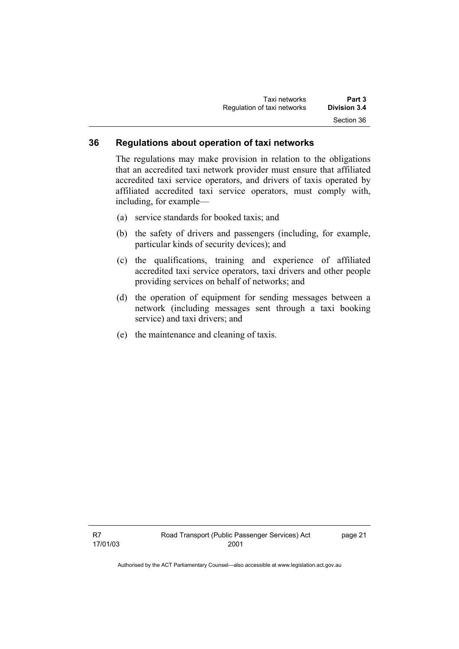| Taxi networks               | Part 3              |
|-----------------------------|---------------------|
| Regulation of taxi networks | <b>Division 3.4</b> |
|                             | Section 36          |

#### **36 Regulations about operation of taxi networks**

The regulations may make provision in relation to the obligations that an accredited taxi network provider must ensure that affiliated accredited taxi service operators, and drivers of taxis operated by affiliated accredited taxi service operators, must comply with, including, for example—

- (a) service standards for booked taxis; and
- (b) the safety of drivers and passengers (including, for example, particular kinds of security devices); and
- (c) the qualifications, training and experience of affiliated accredited taxi service operators, taxi drivers and other people providing services on behalf of networks; and
- (d) the operation of equipment for sending messages between a network (including messages sent through a taxi booking service) and taxi drivers; and
- (e) the maintenance and cleaning of taxis.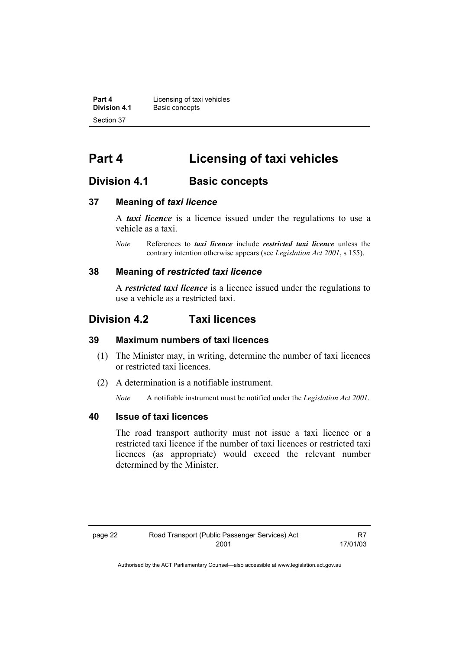**Part 4 Licensing of taxi vehicles**<br>**Division 4.1 Basic concents Division 4.1** Basic concepts Section 37

# **Part 4 Licensing of taxi vehicles**

# **Division 4.1 Basic concepts**

### **37 Meaning of** *taxi licence*

A *taxi licence* is a licence issued under the regulations to use a vehicle as a taxi.

*Note* References to *taxi licence* include *restricted taxi licence* unless the contrary intention otherwise appears (see *Legislation Act 2001*, s 155).

#### **38 Meaning of** *restricted taxi licence*

A *restricted taxi licence* is a licence issued under the regulations to use a vehicle as a restricted taxi.

# **Division 4.2 Taxi licences**

#### **39 Maximum numbers of taxi licences**

- (1) The Minister may, in writing, determine the number of taxi licences or restricted taxi licences.
- (2) A determination is a notifiable instrument.

*Note* A notifiable instrument must be notified under the *Legislation Act 2001*.

#### **40 Issue of taxi licences**

The road transport authority must not issue a taxi licence or a restricted taxi licence if the number of taxi licences or restricted taxi licences (as appropriate) would exceed the relevant number determined by the Minister.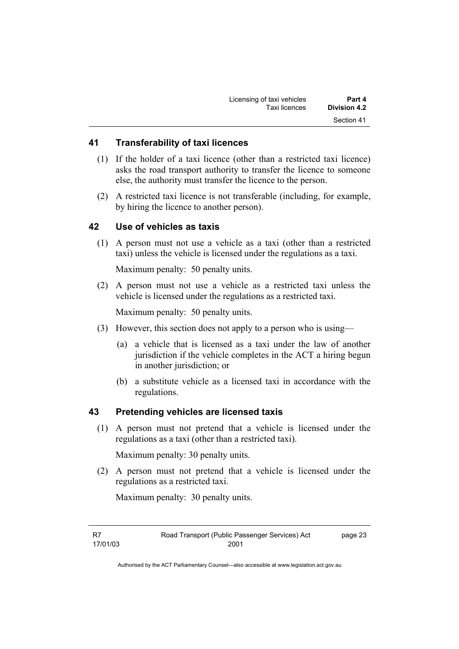| Licensing of taxi vehicles | Part 4       |
|----------------------------|--------------|
| Taxi licences              | Division 4.2 |
|                            | Section 41   |

#### **41 Transferability of taxi licences**

- (1) If the holder of a taxi licence (other than a restricted taxi licence) asks the road transport authority to transfer the licence to someone else, the authority must transfer the licence to the person.
- (2) A restricted taxi licence is not transferable (including, for example, by hiring the licence to another person).

#### **42 Use of vehicles as taxis**

 (1) A person must not use a vehicle as a taxi (other than a restricted taxi) unless the vehicle is licensed under the regulations as a taxi.

Maximum penalty: 50 penalty units.

 (2) A person must not use a vehicle as a restricted taxi unless the vehicle is licensed under the regulations as a restricted taxi.

Maximum penalty: 50 penalty units.

- (3) However, this section does not apply to a person who is using—
	- (a) a vehicle that is licensed as a taxi under the law of another jurisdiction if the vehicle completes in the ACT a hiring begun in another jurisdiction; or
	- (b) a substitute vehicle as a licensed taxi in accordance with the regulations.

#### **43 Pretending vehicles are licensed taxis**

 (1) A person must not pretend that a vehicle is licensed under the regulations as a taxi (other than a restricted taxi).

Maximum penalty: 30 penalty units.

 (2) A person must not pretend that a vehicle is licensed under the regulations as a restricted taxi.

Maximum penalty: 30 penalty units.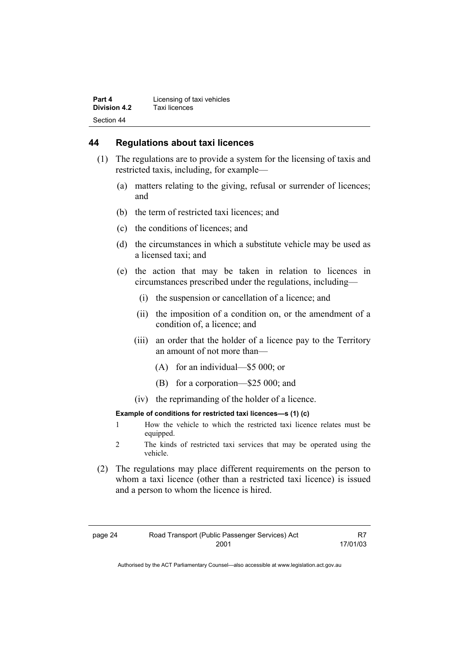#### **44 Regulations about taxi licences**

- (1) The regulations are to provide a system for the licensing of taxis and restricted taxis, including, for example—
	- (a) matters relating to the giving, refusal or surrender of licences; and
	- (b) the term of restricted taxi licences; and
	- (c) the conditions of licences; and
	- (d) the circumstances in which a substitute vehicle may be used as a licensed taxi; and
	- (e) the action that may be taken in relation to licences in circumstances prescribed under the regulations, including—
		- (i) the suspension or cancellation of a licence; and
		- (ii) the imposition of a condition on, or the amendment of a condition of, a licence; and
		- (iii) an order that the holder of a licence pay to the Territory an amount of not more than—
			- (A) for an individual—\$5 000; or
			- (B) for a corporation—\$25 000; and
		- (iv) the reprimanding of the holder of a licence.

#### **Example of conditions for restricted taxi licences—s (1) (c)**

- 1 How the vehicle to which the restricted taxi licence relates must be equipped.
- 2 The kinds of restricted taxi services that may be operated using the vehicle.
- (2) The regulations may place different requirements on the person to whom a taxi licence (other than a restricted taxi licence) is issued and a person to whom the licence is hired.

| page 24 | Road Transport (Public Passenger Services) Act |          |
|---------|------------------------------------------------|----------|
|         | 2001                                           | 17/01/03 |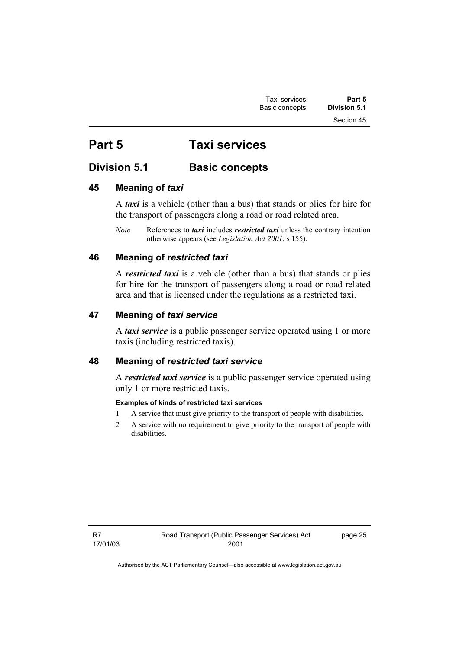# **Part 5 Taxi services**

# **Division 5.1 Basic concepts**

# **45 Meaning of** *taxi*

A *taxi* is a vehicle (other than a bus) that stands or plies for hire for the transport of passengers along a road or road related area.

*Note* References to *taxi* includes *restricted taxi* unless the contrary intention otherwise appears (see *Legislation Act 2001*, s 155).

# **46 Meaning of** *restricted taxi*

A *restricted taxi* is a vehicle (other than a bus) that stands or plies for hire for the transport of passengers along a road or road related area and that is licensed under the regulations as a restricted taxi.

# **47 Meaning of** *taxi service*

A *taxi service* is a public passenger service operated using 1 or more taxis (including restricted taxis).

# **48 Meaning of** *restricted taxi service*

A *restricted taxi service* is a public passenger service operated using only 1 or more restricted taxis.

#### **Examples of kinds of restricted taxi services**

- 1 A service that must give priority to the transport of people with disabilities.
- 2 A service with no requirement to give priority to the transport of people with disabilities.

page 25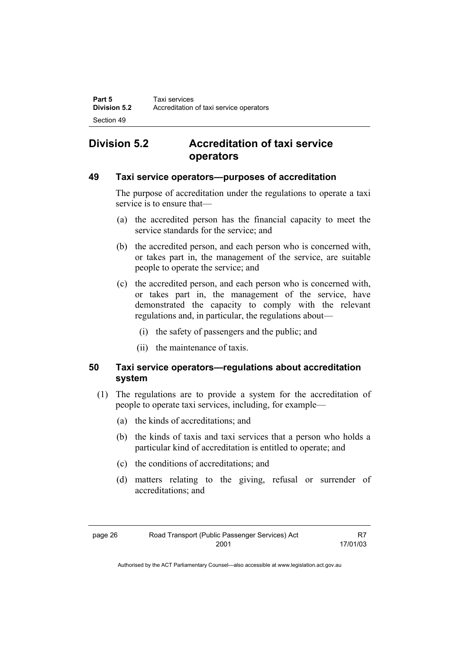# **Division 5.2 Accreditation of taxi service operators**

#### **49 Taxi service operators—purposes of accreditation**

The purpose of accreditation under the regulations to operate a taxi service is to ensure that—

- (a) the accredited person has the financial capacity to meet the service standards for the service; and
- (b) the accredited person, and each person who is concerned with, or takes part in, the management of the service, are suitable people to operate the service; and
- (c) the accredited person, and each person who is concerned with, or takes part in, the management of the service, have demonstrated the capacity to comply with the relevant regulations and, in particular, the regulations about—
	- (i) the safety of passengers and the public; and
	- (ii) the maintenance of taxis.

# **50 Taxi service operators—regulations about accreditation system**

- (1) The regulations are to provide a system for the accreditation of people to operate taxi services, including, for example—
	- (a) the kinds of accreditations; and
	- (b) the kinds of taxis and taxi services that a person who holds a particular kind of accreditation is entitled to operate; and
	- (c) the conditions of accreditations; and
	- (d) matters relating to the giving, refusal or surrender of accreditations; and

| page 26 | Road Transport (Public Passenger Services) Act | R7       |
|---------|------------------------------------------------|----------|
|         | 2001                                           | 17/01/03 |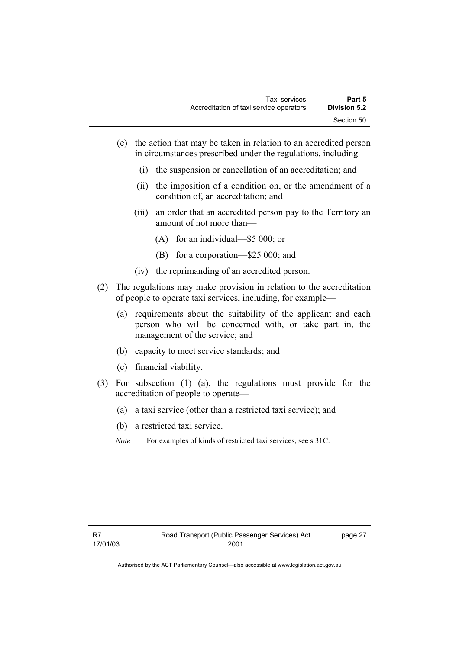- (e) the action that may be taken in relation to an accredited person in circumstances prescribed under the regulations, including—
	- (i) the suspension or cancellation of an accreditation; and
	- (ii) the imposition of a condition on, or the amendment of a condition of, an accreditation; and
	- (iii) an order that an accredited person pay to the Territory an amount of not more than—
		- (A) for an individual—\$5 000; or
		- (B) for a corporation—\$25 000; and
	- (iv) the reprimanding of an accredited person.
- (2) The regulations may make provision in relation to the accreditation of people to operate taxi services, including, for example—
	- (a) requirements about the suitability of the applicant and each person who will be concerned with, or take part in, the management of the service; and
	- (b) capacity to meet service standards; and
	- (c) financial viability.
- (3) For subsection (1) (a), the regulations must provide for the accreditation of people to operate—
	- (a) a taxi service (other than a restricted taxi service); and
	- (b) a restricted taxi service.
	- *Note* For examples of kinds of restricted taxi services, see s 31C.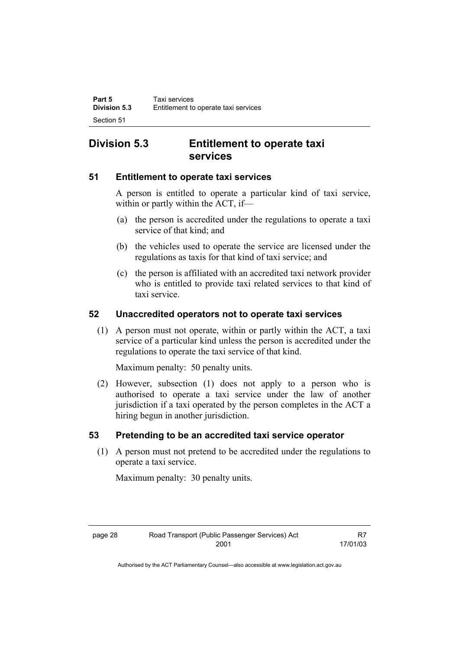# **Division 5.3 Entitlement to operate taxi services**

### **51 Entitlement to operate taxi services**

A person is entitled to operate a particular kind of taxi service, within or partly within the ACT, if—

- (a) the person is accredited under the regulations to operate a taxi service of that kind; and
- (b) the vehicles used to operate the service are licensed under the regulations as taxis for that kind of taxi service; and
- (c) the person is affiliated with an accredited taxi network provider who is entitled to provide taxi related services to that kind of taxi service.

# **52 Unaccredited operators not to operate taxi services**

 (1) A person must not operate, within or partly within the ACT, a taxi service of a particular kind unless the person is accredited under the regulations to operate the taxi service of that kind.

Maximum penalty: 50 penalty units.

 (2) However, subsection (1) does not apply to a person who is authorised to operate a taxi service under the law of another jurisdiction if a taxi operated by the person completes in the ACT a hiring begun in another jurisdiction.

#### **53 Pretending to be an accredited taxi service operator**

 (1) A person must not pretend to be accredited under the regulations to operate a taxi service.

Maximum penalty: 30 penalty units.

| page 28 | Road Transport (Public Passenger Services) Act | R7       |
|---------|------------------------------------------------|----------|
|         | 2001                                           | 17/01/03 |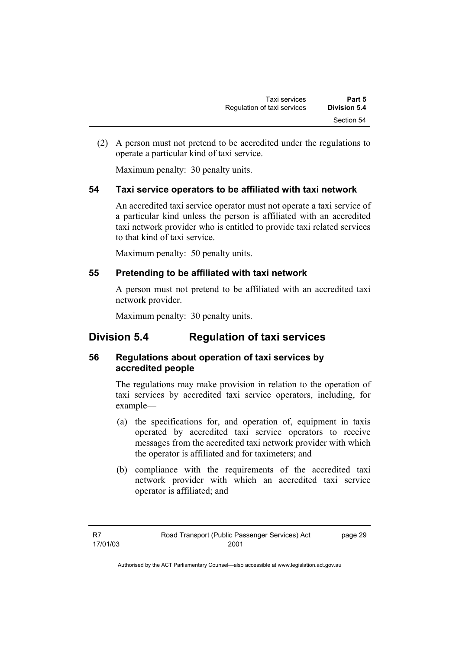(2) A person must not pretend to be accredited under the regulations to operate a particular kind of taxi service.

Maximum penalty: 30 penalty units.

# **54 Taxi service operators to be affiliated with taxi network**

An accredited taxi service operator must not operate a taxi service of a particular kind unless the person is affiliated with an accredited taxi network provider who is entitled to provide taxi related services to that kind of taxi service.

Maximum penalty: 50 penalty units.

# **55 Pretending to be affiliated with taxi network**

A person must not pretend to be affiliated with an accredited taxi network provider.

Maximum penalty: 30 penalty units.

# **Division 5.4 Regulation of taxi services**

# **56 Regulations about operation of taxi services by accredited people**

The regulations may make provision in relation to the operation of taxi services by accredited taxi service operators, including, for example—

- (a) the specifications for, and operation of, equipment in taxis operated by accredited taxi service operators to receive messages from the accredited taxi network provider with which the operator is affiliated and for taximeters; and
- (b) compliance with the requirements of the accredited taxi network provider with which an accredited taxi service operator is affiliated; and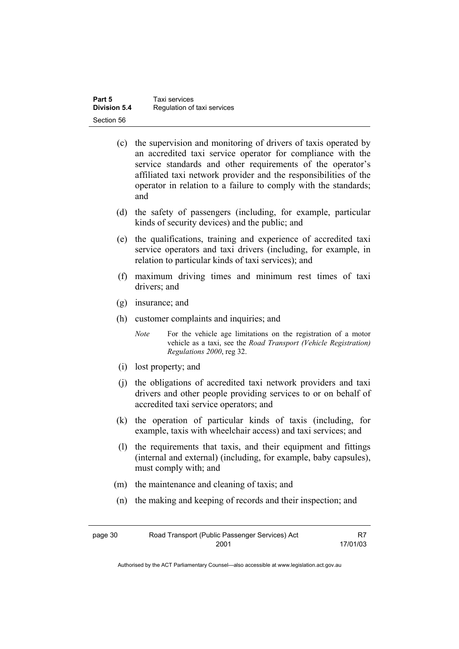| Part 5              | Taxi services               |
|---------------------|-----------------------------|
| <b>Division 5.4</b> | Regulation of taxi services |
| Section 56          |                             |

- (c) the supervision and monitoring of drivers of taxis operated by an accredited taxi service operator for compliance with the service standards and other requirements of the operator's affiliated taxi network provider and the responsibilities of the operator in relation to a failure to comply with the standards; and
- (d) the safety of passengers (including, for example, particular kinds of security devices) and the public; and
- (e) the qualifications, training and experience of accredited taxi service operators and taxi drivers (including, for example, in relation to particular kinds of taxi services); and
- (f) maximum driving times and minimum rest times of taxi drivers; and
- (g) insurance; and
- (h) customer complaints and inquiries; and

*Note* For the vehicle age limitations on the registration of a motor vehicle as a taxi, see the *Road Transport (Vehicle Registration) Regulations 2000*, reg 32.

- (i) lost property; and
- (j) the obligations of accredited taxi network providers and taxi drivers and other people providing services to or on behalf of accredited taxi service operators; and
- (k) the operation of particular kinds of taxis (including, for example, taxis with wheelchair access) and taxi services; and
- (l) the requirements that taxis, and their equipment and fittings (internal and external) (including, for example, baby capsules), must comply with; and
- (m) the maintenance and cleaning of taxis; and
- (n) the making and keeping of records and their inspection; and

| page 30 | Road Transport (Public Passenger Services) Act | R7       |
|---------|------------------------------------------------|----------|
|         | 2001                                           | 17/01/03 |

Authorised by the ACT Parliamentary Counsel—also accessible at www.legislation.act.gov.au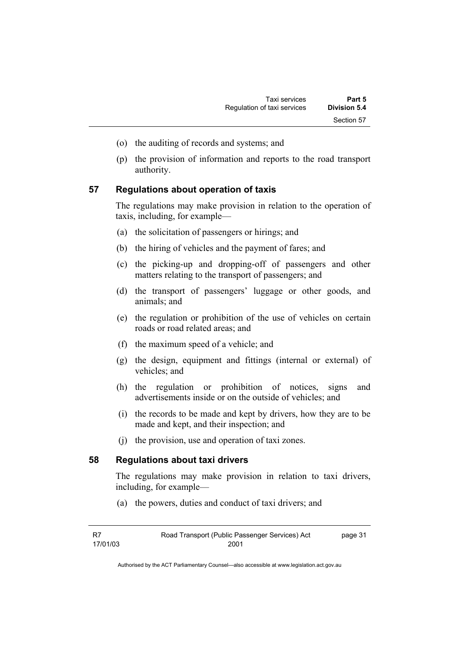- (o) the auditing of records and systems; and
- (p) the provision of information and reports to the road transport authority.

#### **57 Regulations about operation of taxis**

The regulations may make provision in relation to the operation of taxis, including, for example—

- (a) the solicitation of passengers or hirings; and
- (b) the hiring of vehicles and the payment of fares; and
- (c) the picking-up and dropping-off of passengers and other matters relating to the transport of passengers; and
- (d) the transport of passengers' luggage or other goods, and animals; and
- (e) the regulation or prohibition of the use of vehicles on certain roads or road related areas; and
- (f) the maximum speed of a vehicle; and
- (g) the design, equipment and fittings (internal or external) of vehicles; and
- (h) the regulation or prohibition of notices, signs and advertisements inside or on the outside of vehicles; and
- (i) the records to be made and kept by drivers, how they are to be made and kept, and their inspection; and
- (j) the provision, use and operation of taxi zones.

#### **58 Regulations about taxi drivers**

The regulations may make provision in relation to taxi drivers, including, for example—

(a) the powers, duties and conduct of taxi drivers; and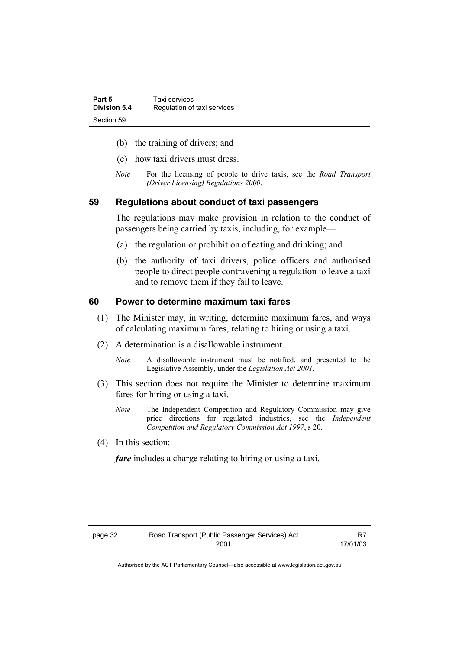| Part 5       | Taxi services               |
|--------------|-----------------------------|
| Division 5.4 | Regulation of taxi services |
| Section 59   |                             |

- (b) the training of drivers; and
- (c) how taxi drivers must dress.
- *Note* For the licensing of people to drive taxis, see the *Road Transport (Driver Licensing) Regulations 2000*.

#### **59 Regulations about conduct of taxi passengers**

The regulations may make provision in relation to the conduct of passengers being carried by taxis, including, for example—

- (a) the regulation or prohibition of eating and drinking; and
- (b) the authority of taxi drivers, police officers and authorised people to direct people contravening a regulation to leave a taxi and to remove them if they fail to leave.

#### **60 Power to determine maximum taxi fares**

- (1) The Minister may, in writing, determine maximum fares, and ways of calculating maximum fares, relating to hiring or using a taxi.
- (2) A determination is a disallowable instrument.
	- *Note* A disallowable instrument must be notified, and presented to the Legislative Assembly, under the *Legislation Act 2001*.
- (3) This section does not require the Minister to determine maximum fares for hiring or using a taxi.
	- *Note* The Independent Competition and Regulatory Commission may give price directions for regulated industries, see the *Independent Competition and Regulatory Commission Act 1997*, s 20.
- (4) In this section:

*fare* includes a charge relating to hiring or using a taxi.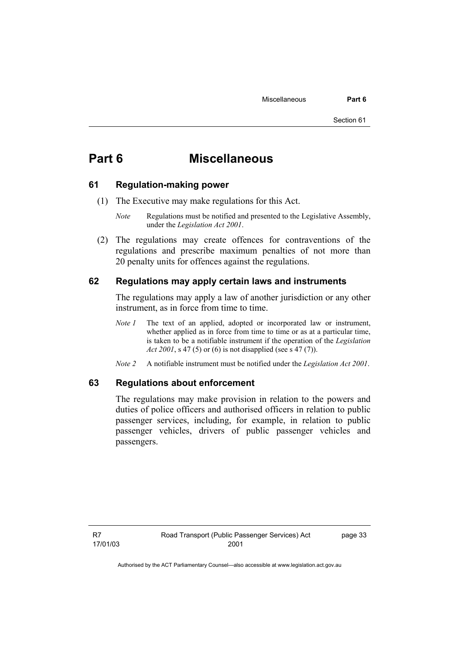# **Part 6 Miscellaneous**

#### **61 Regulation-making power**

- (1) The Executive may make regulations for this Act.
	- *Note* Regulations must be notified and presented to the Legislative Assembly, under the *Legislation Act 2001*.
- (2) The regulations may create offences for contraventions of the regulations and prescribe maximum penalties of not more than 20 penalty units for offences against the regulations.

#### **62 Regulations may apply certain laws and instruments**

The regulations may apply a law of another jurisdiction or any other instrument, as in force from time to time.

- *Note 1* The text of an applied, adopted or incorporated law or instrument, whether applied as in force from time to time or as at a particular time, is taken to be a notifiable instrument if the operation of the *Legislation Act 2001*, s 47 (5) or (6) is not disapplied (see s 47 (7)).
- *Note 2* A notifiable instrument must be notified under the *Legislation Act 2001*.

#### **63 Regulations about enforcement**

The regulations may make provision in relation to the powers and duties of police officers and authorised officers in relation to public passenger services, including, for example, in relation to public passenger vehicles, drivers of public passenger vehicles and passengers.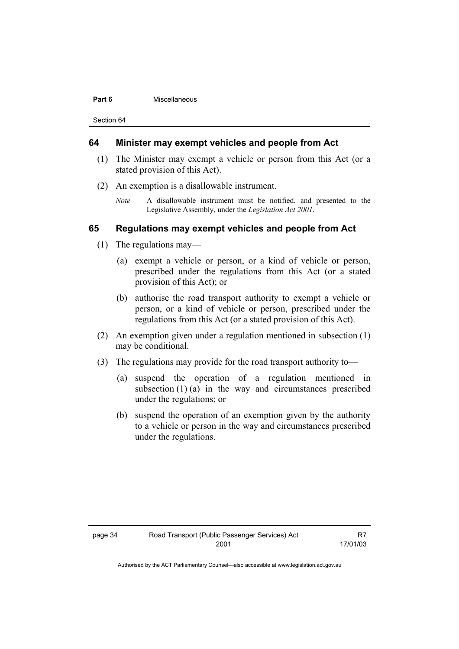#### **Part 6 Miscellaneous**

Section 64

#### **64 Minister may exempt vehicles and people from Act**

- (1) The Minister may exempt a vehicle or person from this Act (or a stated provision of this Act).
- (2) An exemption is a disallowable instrument.
	- *Note* A disallowable instrument must be notified, and presented to the Legislative Assembly, under the *Legislation Act 2001*.

#### **65 Regulations may exempt vehicles and people from Act**

- (1) The regulations may—
	- (a) exempt a vehicle or person, or a kind of vehicle or person, prescribed under the regulations from this Act (or a stated provision of this Act); or
	- (b) authorise the road transport authority to exempt a vehicle or person, or a kind of vehicle or person, prescribed under the regulations from this Act (or a stated provision of this Act).
- (2) An exemption given under a regulation mentioned in subsection (1) may be conditional.
- (3) The regulations may provide for the road transport authority to—
	- (a) suspend the operation of a regulation mentioned in subsection (1) (a) in the way and circumstances prescribed under the regulations; or
	- (b) suspend the operation of an exemption given by the authority to a vehicle or person in the way and circumstances prescribed under the regulations.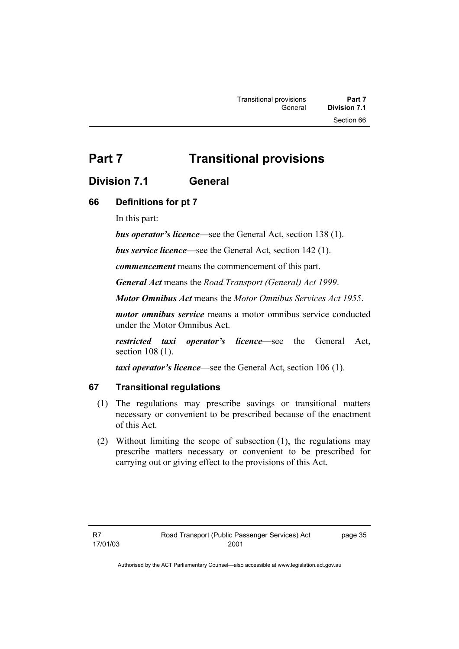# **Part 7** Transitional provisions

# **Division 7.1 General**

# **66 Definitions for pt 7**

In this part:

*bus operator's licence*—see the General Act, section 138 (1).

*bus service licence*—see the General Act, section 142 (1).

*commencement* means the commencement of this part.

*General Act* means the *Road Transport (General) Act 1999*.

*Motor Omnibus Act* means the *Motor Omnibus Services Act 1955*.

*motor omnibus service* means a motor omnibus service conducted under the Motor Omnibus Act.

*restricted taxi operator's licence*—see the General Act, section 108 (1).

*taxi operator's licence*—see the General Act, section 106 (1).

#### **67 Transitional regulations**

- (1) The regulations may prescribe savings or transitional matters necessary or convenient to be prescribed because of the enactment of this Act.
- (2) Without limiting the scope of subsection (1), the regulations may prescribe matters necessary or convenient to be prescribed for carrying out or giving effect to the provisions of this Act.

page 35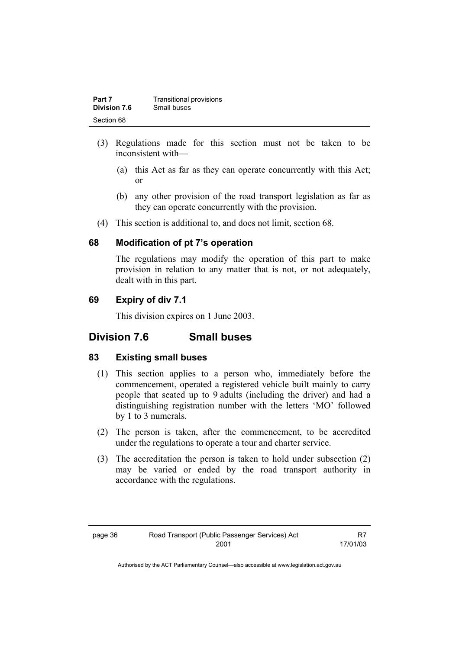| Part 7              | Transitional provisions |
|---------------------|-------------------------|
| <b>Division 7.6</b> | Small buses             |
| Section 68          |                         |

- (3) Regulations made for this section must not be taken to be inconsistent with—
	- (a) this Act as far as they can operate concurrently with this Act; or
	- (b) any other provision of the road transport legislation as far as they can operate concurrently with the provision.
- (4) This section is additional to, and does not limit, section 68.

#### **68 Modification of pt 7's operation**

The regulations may modify the operation of this part to make provision in relation to any matter that is not, or not adequately, dealt with in this part.

### **69 Expiry of div 7.1**

This division expires on 1 June 2003.

# **Division 7.6 Small buses**

#### **83 Existing small buses**

- (1) This section applies to a person who, immediately before the commencement, operated a registered vehicle built mainly to carry people that seated up to 9 adults (including the driver) and had a distinguishing registration number with the letters 'MO' followed by 1 to 3 numerals.
- (2) The person is taken, after the commencement, to be accredited under the regulations to operate a tour and charter service.
- (3) The accreditation the person is taken to hold under subsection (2) may be varied or ended by the road transport authority in accordance with the regulations.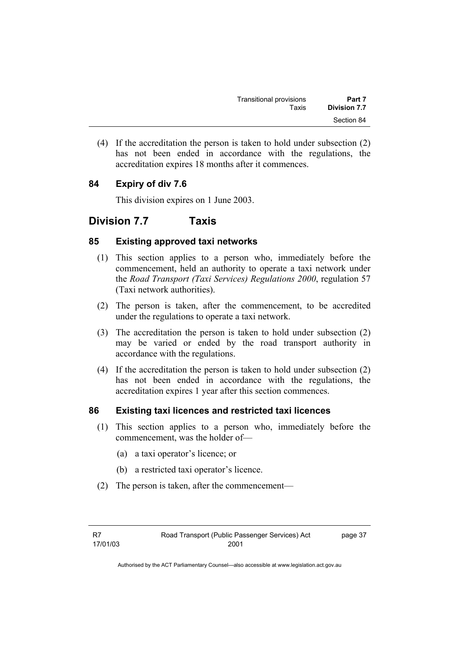| Transitional provisions | Part 7              |
|-------------------------|---------------------|
| Taxis                   | <b>Division 7.7</b> |
|                         | Section 84          |

 (4) If the accreditation the person is taken to hold under subsection (2) has not been ended in accordance with the regulations, the accreditation expires 18 months after it commences.

# **84 Expiry of div 7.6**

This division expires on 1 June 2003.

# **Division 7.7 Taxis**

### **85 Existing approved taxi networks**

- (1) This section applies to a person who, immediately before the commencement, held an authority to operate a taxi network under the *Road Transport (Taxi Services) Regulations 2000*, regulation 57 (Taxi network authorities).
- (2) The person is taken, after the commencement, to be accredited under the regulations to operate a taxi network.
- (3) The accreditation the person is taken to hold under subsection (2) may be varied or ended by the road transport authority in accordance with the regulations.
- (4) If the accreditation the person is taken to hold under subsection (2) has not been ended in accordance with the regulations, the accreditation expires 1 year after this section commences.

# **86 Existing taxi licences and restricted taxi licences**

- (1) This section applies to a person who, immediately before the commencement, was the holder of—
	- (a) a taxi operator's licence; or
	- (b) a restricted taxi operator's licence.
- (2) The person is taken, after the commencement—

page 37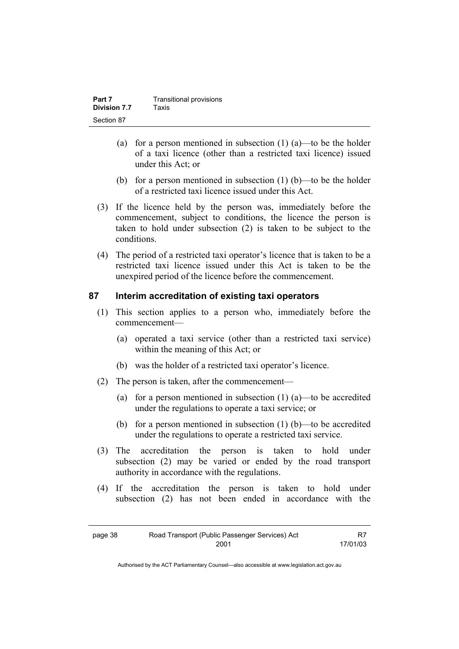| Part 7       | Transitional provisions |
|--------------|-------------------------|
| Division 7.7 | Taxis                   |
| Section 87   |                         |

- (a) for a person mentioned in subsection  $(1)$  (a)—to be the holder of a taxi licence (other than a restricted taxi licence) issued under this Act; or
- (b) for a person mentioned in subsection  $(1)$  (b)—to be the holder of a restricted taxi licence issued under this Act.
- (3) If the licence held by the person was, immediately before the commencement, subject to conditions, the licence the person is taken to hold under subsection (2) is taken to be subject to the conditions.
- (4) The period of a restricted taxi operator's licence that is taken to be a restricted taxi licence issued under this Act is taken to be the unexpired period of the licence before the commencement.

#### **87 Interim accreditation of existing taxi operators**

- (1) This section applies to a person who, immediately before the commencement—
	- (a) operated a taxi service (other than a restricted taxi service) within the meaning of this Act; or
	- (b) was the holder of a restricted taxi operator's licence.
- (2) The person is taken, after the commencement—
	- (a) for a person mentioned in subsection  $(1)$   $(a)$ —to be accredited under the regulations to operate a taxi service; or
	- (b) for a person mentioned in subsection (1) (b)—to be accredited under the regulations to operate a restricted taxi service.
- (3) The accreditation the person is taken to hold under subsection (2) may be varied or ended by the road transport authority in accordance with the regulations.
- (4) If the accreditation the person is taken to hold under subsection (2) has not been ended in accordance with the

| page 38 | Road Transport (Public Passenger Services) Act | R7       |
|---------|------------------------------------------------|----------|
|         | 2001                                           | 17/01/03 |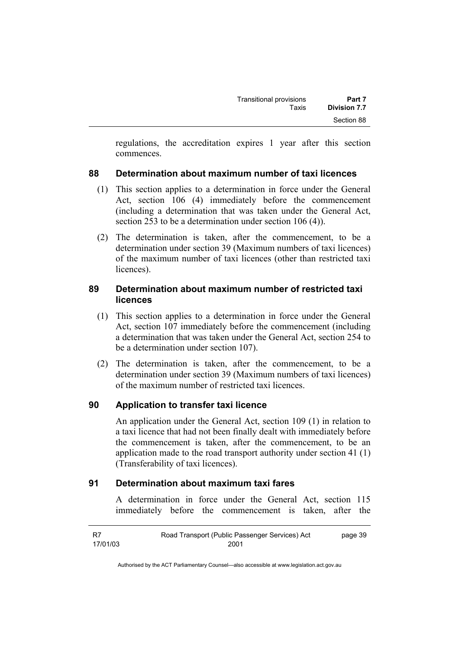regulations, the accreditation expires 1 year after this section commences.

# **88 Determination about maximum number of taxi licences**

- (1) This section applies to a determination in force under the General Act, section 106 (4) immediately before the commencement (including a determination that was taken under the General Act, section 253 to be a determination under section 106 (4)).
- (2) The determination is taken, after the commencement, to be a determination under section 39 (Maximum numbers of taxi licences) of the maximum number of taxi licences (other than restricted taxi licences).

# **89 Determination about maximum number of restricted taxi licences**

- (1) This section applies to a determination in force under the General Act, section 107 immediately before the commencement (including a determination that was taken under the General Act, section 254 to be a determination under section 107).
- (2) The determination is taken, after the commencement, to be a determination under section 39 (Maximum numbers of taxi licences) of the maximum number of restricted taxi licences.

# **90 Application to transfer taxi licence**

An application under the General Act, section 109 (1) in relation to a taxi licence that had not been finally dealt with immediately before the commencement is taken, after the commencement, to be an application made to the road transport authority under section 41 (1) (Transferability of taxi licences).

# **91 Determination about maximum taxi fares**

A determination in force under the General Act, section 115 immediately before the commencement is taken, after the

| -R7      | Road Transport (Public Passenger Services) Act | page 39 |
|----------|------------------------------------------------|---------|
| 17/01/03 | 2001                                           |         |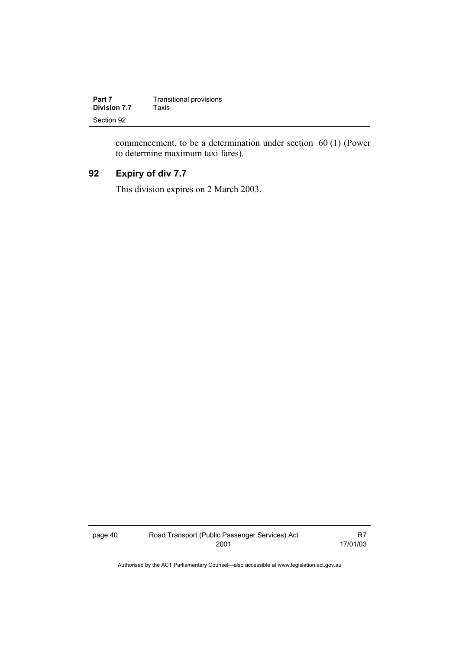| Part 7       | <b>Transitional provisions</b> |
|--------------|--------------------------------|
| Division 7.7 | Taxis                          |
| Section 92   |                                |

commencement, to be a determination under section 60 (1) (Power to determine maximum taxi fares).

# **92 Expiry of div 7.7**

This division expires on 2 March 2003.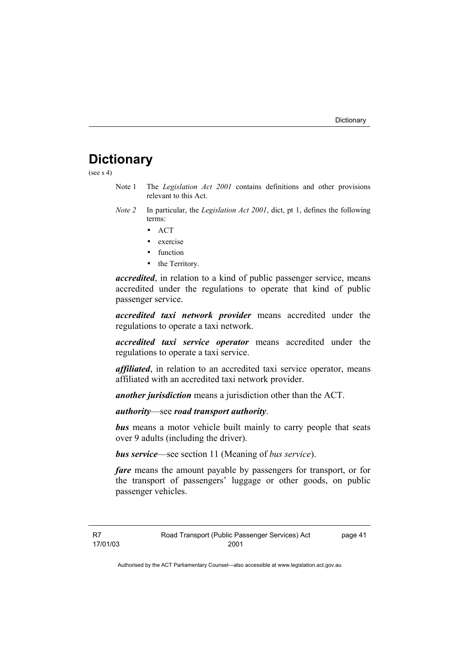# **Dictionary**

(see  $s$  4)

- Note 1 The *Legislation Act 2001* contains definitions and other provisions relevant to this Act.
- *Note 2* In particular, the *Legislation Act 2001*, dict, pt 1, defines the following terms:
	- ACT
	- exercise
	- function
	- the Territory.

*accredited*, in relation to a kind of public passenger service, means accredited under the regulations to operate that kind of public passenger service.

*accredited taxi network provider* means accredited under the regulations to operate a taxi network.

*accredited taxi service operator* means accredited under the regulations to operate a taxi service.

*affiliated*, in relation to an accredited taxi service operator, means affiliated with an accredited taxi network provider.

*another jurisdiction* means a jurisdiction other than the ACT.

*authority*—see *road transport authority*.

*bus* means a motor vehicle built mainly to carry people that seats over 9 adults (including the driver).

*bus service*—see section 11 (Meaning of *bus service*).

*fare* means the amount payable by passengers for transport, or for the transport of passengers' luggage or other goods, on public passenger vehicles.

page 41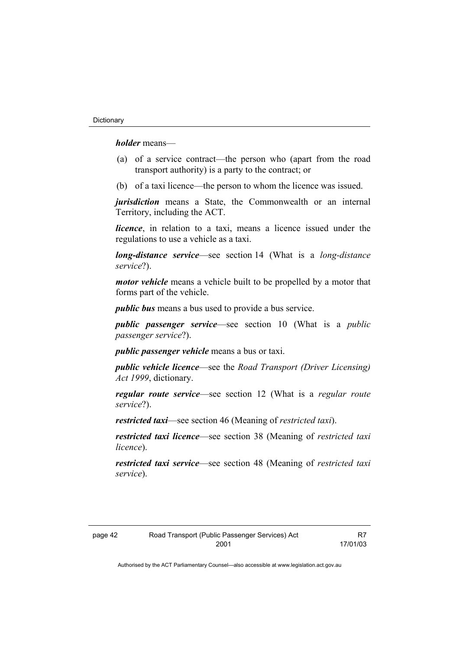*holder* means—

- (a) of a service contract—the person who (apart from the road transport authority) is a party to the contract; or
- (b) of a taxi licence—the person to whom the licence was issued.

*jurisdiction* means a State, the Commonwealth or an internal Territory, including the ACT.

*licence*, in relation to a taxi, means a licence issued under the regulations to use a vehicle as a taxi.

*long-distance service*—see section 14 (What is a *long-distance service*?).

*motor vehicle* means a vehicle built to be propelled by a motor that forms part of the vehicle.

*public bus* means a bus used to provide a bus service.

*public passenger service*—see section 10 (What is a *public passenger service*?).

*public passenger vehicle* means a bus or taxi.

*public vehicle licence*—see the *Road Transport (Driver Licensing) Act 1999*, dictionary.

*regular route service*—see section 12 (What is a *regular route service*?).

*restricted taxi*—see section 46 (Meaning of *restricted taxi*).

*restricted taxi licence*—see section 38 (Meaning of *restricted taxi licence*).

*restricted taxi service*—see section 48 (Meaning of *restricted taxi service*).

| page 42 | Road Transport (Public Passenger Services) Act |
|---------|------------------------------------------------|
|         | 2001                                           |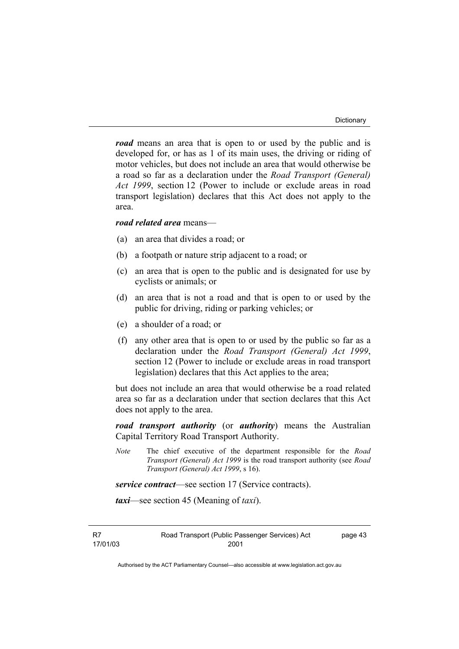*road* means an area that is open to or used by the public and is developed for, or has as 1 of its main uses, the driving or riding of motor vehicles, but does not include an area that would otherwise be a road so far as a declaration under the *Road Transport (General) Act 1999*, section 12 (Power to include or exclude areas in road transport legislation) declares that this Act does not apply to the area.

#### *road related area* means—

- (a) an area that divides a road; or
- (b) a footpath or nature strip adjacent to a road; or
- (c) an area that is open to the public and is designated for use by cyclists or animals; or
- (d) an area that is not a road and that is open to or used by the public for driving, riding or parking vehicles; or
- (e) a shoulder of a road; or
- (f) any other area that is open to or used by the public so far as a declaration under the *Road Transport (General) Act 1999*, section 12 (Power to include or exclude areas in road transport legislation) declares that this Act applies to the area;

but does not include an area that would otherwise be a road related area so far as a declaration under that section declares that this Act does not apply to the area.

*road transport authority* (or *authority*) means the Australian Capital Territory Road Transport Authority.

*Note* The chief executive of the department responsible for the *Road Transport (General) Act 1999* is the road transport authority (see *Road Transport (General) Act 1999*, s 16).

*service contract*—see section 17 (Service contracts).

*taxi*—see section 45 (Meaning of *taxi*).

R7 17/01/03 Road Transport (Public Passenger Services) Act 2001

page 43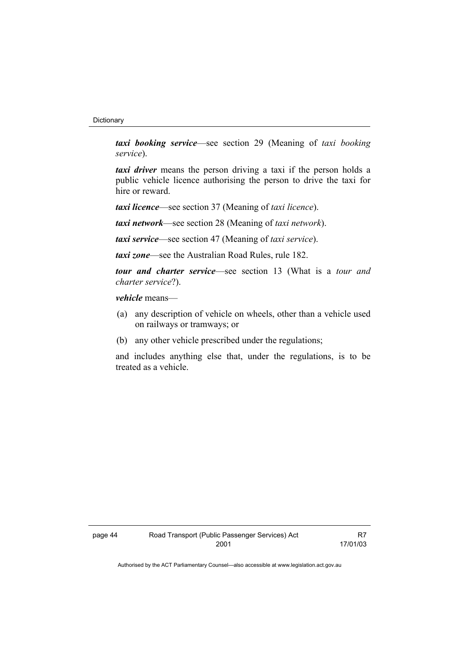#### **Dictionary**

*taxi booking service*—see section 29 (Meaning of *taxi booking service*).

*taxi driver* means the person driving a taxi if the person holds a public vehicle licence authorising the person to drive the taxi for hire or reward.

*taxi licence*—see section 37 (Meaning of *taxi licence*).

*taxi network*—see section 28 (Meaning of *taxi network*).

*taxi service*—see section 47 (Meaning of *taxi service*).

*taxi zone*—see the Australian Road Rules, rule 182.

*tour and charter service*—see section 13 (What is a *tour and charter service*?).

*vehicle* means—

- (a) any description of vehicle on wheels, other than a vehicle used on railways or tramways; or
- (b) any other vehicle prescribed under the regulations;

and includes anything else that, under the regulations, is to be treated as a vehicle.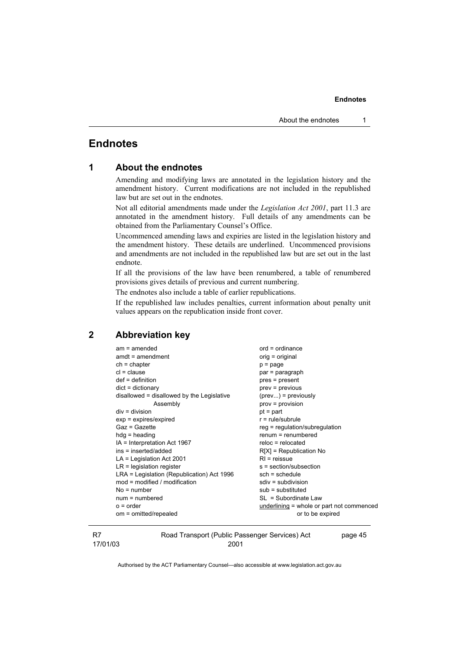# **Endnotes**

| 1 |  |  | <b>About the endnotes</b> |
|---|--|--|---------------------------|
|---|--|--|---------------------------|

Amending and modifying laws are annotated in the legislation history and the amendment history. Current modifications are not included in the republished law but are set out in the endnotes.

Not all editorial amendments made under the *Legislation Act 2001*, part 11.3 are annotated in the amendment history. Full details of any amendments can be obtained from the Parliamentary Counsel's Office.

Uncommenced amending laws and expiries are listed in the legislation history and the amendment history. These details are underlined. Uncommenced provisions and amendments are not included in the republished law but are set out in the last endnote.

If all the provisions of the law have been renumbered, a table of renumbered provisions gives details of previous and current numbering.

The endnotes also include a table of earlier republications.

If the republished law includes penalties, current information about penalty unit values appears on the republication inside front cover.

#### **2 Abbreviation key**

| $am = amended$                             | $ord = ordinance$                         |
|--------------------------------------------|-------------------------------------------|
| $amdt = amendment$                         | orig = original                           |
| $ch = chapter$                             | $p = page$                                |
| $cl = clause$                              | par = paragraph                           |
| $def = definition$                         | pres = present                            |
| $dict = dictionary$                        | $prev = previous$                         |
| disallowed = disallowed by the Legislative | $(\text{prev})$ = previously              |
| Assembly                                   | $prov = provision$                        |
| $div = division$                           | $pt = part$                               |
| $exp = expires/expired$                    | $r = rule/subrule$                        |
| $Gaz = Gazette$                            | reg = regulation/subregulation            |
| $hdg =$ heading                            | $renum = renumbered$                      |
| IA = Interpretation Act 1967               | $reloc = relocated$                       |
| ins = inserted/added                       | $R[X]$ = Republication No                 |
| $LA =$ Legislation Act 2001                | $RI = reissue$                            |
| $LR =$ legislation register                | s = section/subsection                    |
| LRA = Legislation (Republication) Act 1996 | $sch = schedule$                          |
| $mod = modified / modified$                | $sdiv = subdivision$                      |
| $No = number$                              | $sub =$ substituted                       |
| $num = numbered$                           | SL = Subordinate Law                      |
| $o = order$                                | underlining = whole or part not commenced |
| om = omitted/repealed                      | or to be expired                          |
|                                            |                                           |

Road Transport (Public Passenger Services) Act 2001

page 45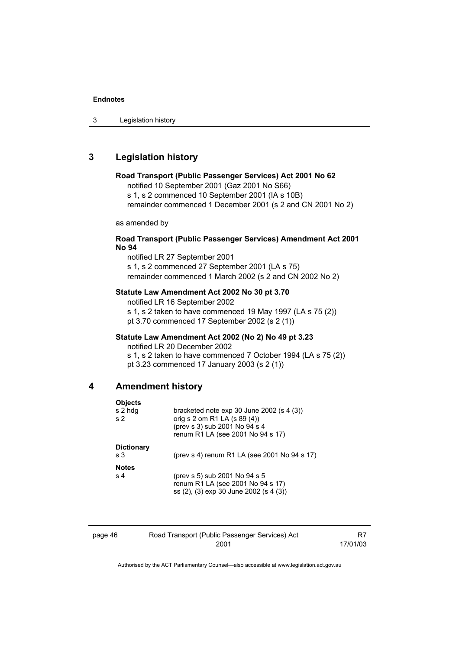# **3 Legislation history**

#### **Road Transport (Public Passenger Services) Act 2001 No 62**

notified 10 September 2001 (Gaz 2001 No S66)

s 1, s 2 commenced 10 September 2001 (IA s 10B)

remainder commenced 1 December 2001 (s 2 and CN 2001 No 2)

as amended by

#### **Road Transport (Public Passenger Services) Amendment Act 2001 No 94**

notified LR 27 September 2001 s 1, s 2 commenced 27 September 2001 (LA s 75) remainder commenced 1 March 2002 (s 2 and CN 2002 No 2)

#### **Statute Law Amendment Act 2002 No 30 pt 3.70**

notified LR 16 September 2002 s 1, s 2 taken to have commenced 19 May 1997 (LA s 75 (2)) pt 3.70 commenced 17 September 2002 (s 2 (1))

#### **Statute Law Amendment Act 2002 (No 2) No 49 pt 3.23**

notified LR 20 December 2002 s 1, s 2 taken to have commenced 7 October 1994 (LA s 75 (2))

pt 3.23 commenced 17 January 2003 (s 2 (1))

#### **4 Amendment history**

| <b>Objects</b><br>s 2 hdg<br>s <sub>2</sub> | bracketed note $exp 30$ June 2002 (s 4 (3))<br>orig s 2 om R1 LA (s 89 (4))<br>(prev s 3) sub 2001 No 94 s 4<br>renum R1 LA (see 2001 No 94 s 17) |
|---------------------------------------------|---------------------------------------------------------------------------------------------------------------------------------------------------|
| <b>Dictionary</b><br>s <sub>3</sub>         | (prev s 4) renum R1 LA (see 2001 No 94 s 17)                                                                                                      |
| <b>Notes</b><br>s <sub>4</sub>              | (prev s 5) sub 2001 No 94 s 5<br>renum R1 LA (see 2001 No 94 s 17)<br>ss (2), (3) exp 30 June 2002 (s 4 (3))                                      |

| page 46 | Road Transport (Public Passenger Services) Act |          |
|---------|------------------------------------------------|----------|
|         | 2001                                           | 17/01/03 |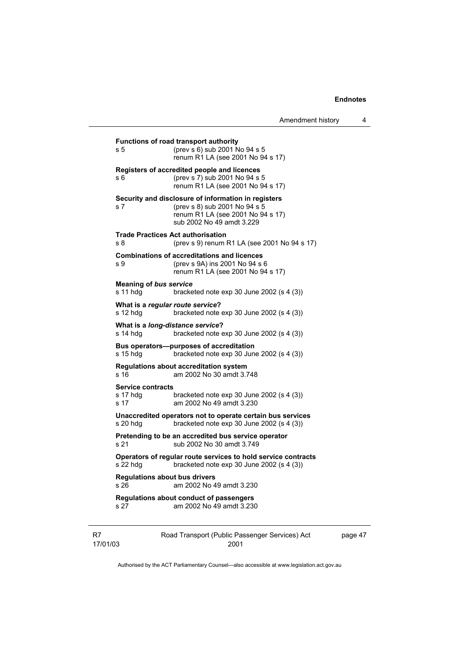| Amendment history |  |
|-------------------|--|
|-------------------|--|

| s 5                                          | <b>Functions of road transport authority</b><br>(prev s 6) sub 2001 No 94 s 5<br>renum R1 LA (see 2001 No 94 s 17)                                     |
|----------------------------------------------|--------------------------------------------------------------------------------------------------------------------------------------------------------|
| s 6                                          | Registers of accredited people and licences<br>(prev s 7) sub 2001 No 94 s 5<br>renum R1 LA (see 2001 No 94 s 17)                                      |
| s 7                                          | Security and disclosure of information in registers<br>(prev s 8) sub 2001 No 94 s 5<br>renum R1 LA (see 2001 No 94 s 17)<br>sub 2002 No 49 amdt 3.229 |
| s 8                                          | <b>Trade Practices Act authorisation</b><br>(prev s 9) renum R1 LA (see 2001 No 94 s 17)                                                               |
| s 9                                          | <b>Combinations of accreditations and licences</b><br>(prev s 9A) ins 2001 No 94 s 6<br>renum R1 LA (see 2001 No 94 s 17)                              |
| s 11 hdg                                     | <b>Meaning of bus service</b><br>bracketed note $exp 30$ June 2002 (s 4 (3))                                                                           |
| $s$ 12 hdg                                   | What is a regular route service?<br>bracketed note exp 30 June 2002 (s 4 (3))                                                                          |
| $s$ 14 hdg                                   | What is a long-distance service?<br>bracketed note $exp 30$ June 2002 (s 4 (3))                                                                        |
| $s$ 15 hdg                                   | Bus operators--purposes of accreditation<br>bracketed note $exp 30$ June 2002 (s 4 (3))                                                                |
| s 16                                         | <b>Regulations about accreditation system</b><br>am 2002 No 30 amdt 3.748                                                                              |
| <b>Service contracts</b><br>s 17 hdg<br>s 17 | bracketed note $exp 30$ June 2002 (s 4 (3))<br>am 2002 No 49 amdt 3.230                                                                                |
| $s$ 20 hdg                                   | Unaccredited operators not to operate certain bus services<br>bracketed note $exp 30$ June 2002 (s 4 (3))                                              |
| s 21                                         | Pretending to be an accredited bus service operator<br>sub 2002 No 30 amdt 3.749                                                                       |
| s 22 hdg                                     | Operators of regular route services to hold service contracts<br>bracketed note $exp 30$ June 2002 (s 4 (3))                                           |
| s 26                                         | <b>Regulations about bus drivers</b><br>am 2002 No 49 amdt 3.230                                                                                       |
| s 27                                         | Regulations about conduct of passengers<br>am 2002 No 49 amdt 3.230                                                                                    |
| 17/01/03                                     | Road Transport (Public Passenger Services) Act<br>2001                                                                                                 |

page 47

Authorised by the ACT Parliamentary Counsel—also accessible at www.legislation.act.gov.au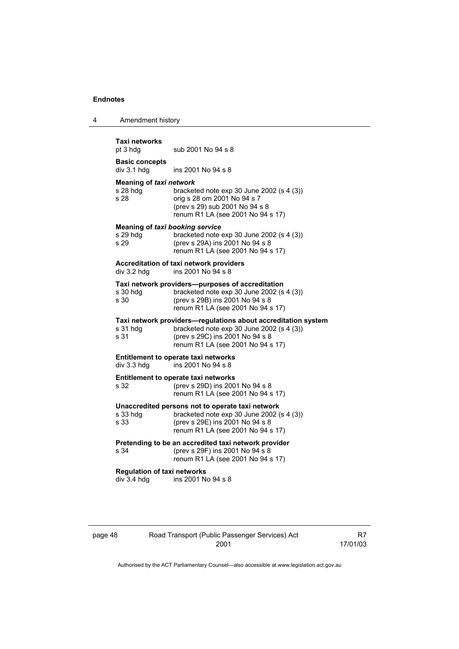| Amendment history                                 |                                                                                                                                                                                    |
|---------------------------------------------------|------------------------------------------------------------------------------------------------------------------------------------------------------------------------------------|
| Taxi networks<br>pt 3 hdg                         | sub 2001 No 94 s 8                                                                                                                                                                 |
| <b>Basic concepts</b><br>div 3.1 hdg              | ins 2001 No 94 s 8                                                                                                                                                                 |
| Meaning of taxi network<br>s 28 hda<br>s 28       | bracketed note exp 30 June 2002 (s 4 (3))<br>orig s 28 om 2001 No 94 s 7<br>(prev s 29) sub 2001 No 94 s 8<br>renum R1 LA (see 2001 No 94 s 17)                                    |
| s 29 hdg<br>s 29                                  | <b>Meaning of taxi booking service</b><br>bracketed note exp 30 June 2002 (s 4 (3))<br>(prev s 29A) ins 2001 No 94 s 8<br>renum R1 LA (see 2001 No 94 s 17)                        |
| div 3.2 hdg                                       | Accreditation of taxi network providers<br>ins 2001 No 94 s 8                                                                                                                      |
| s 30 hdg<br>s 30                                  | Taxi network providers--purposes of accreditation<br>bracketed note exp 30 June 2002 (s 4 (3))<br>(prev s 29B) ins 2001 No 94 s 8<br>renum R1 LA (see 2001 No 94 s 17)             |
| s 31 hdg<br>s 31                                  | Taxi network providers-regulations about accreditation system<br>bracketed note exp 30 June 2002 (s 4 (3))<br>(prev s 29C) ins 2001 No 94 s 8<br>renum R1 LA (see 2001 No 94 s 17) |
| div 3.3 hdg                                       | <b>Entitlement to operate taxi networks</b><br>ins 2001 No 94 s 8                                                                                                                  |
| s 32                                              | <b>Entitlement to operate taxi networks</b><br>(prev s 29D) ins 2001 No 94 s 8<br>renum R1 LA (see 2001 No 94 s 17)                                                                |
| s 33 hdg<br>s 33                                  | Unaccredited persons not to operate taxi network<br>bracketed note exp 30 June 2002 (s 4 (3))<br>(prev s 29E) ins 2001 No 94 s 8<br>renum R1 LA (see 2001 No 94 s 17)              |
| s 34                                              | Pretending to be an accredited taxi network provider<br>(prev s 29F) ins 2001 No 94 s 8<br>renum R1 LA (see 2001 No 94 s 17)                                                       |
| <b>Regulation of taxi networks</b><br>div 3.4 hdg | ins 2001 No 94 s 8                                                                                                                                                                 |

page 48 Road Transport (Public Passenger Services) Act 2001

R7 17/01/03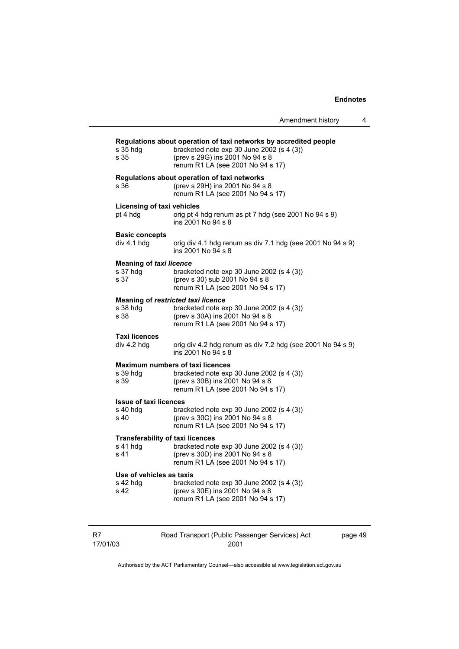| Amendment history |  |
|-------------------|--|
|                   |  |

| $s35$ hdg<br>s 35                                               | Regulations about operation of taxi networks by accredited people<br>bracketed note exp 30 June 2002 (s 4 (3))<br>(prev s 29G) ins 2001 No 94 s 8<br>renum R1 LA (see 2001 No 94 s 17) |      |
|-----------------------------------------------------------------|----------------------------------------------------------------------------------------------------------------------------------------------------------------------------------------|------|
| s 36                                                            | Regulations about operation of taxi networks<br>(prev s 29H) ins 2001 No 94 s 8<br>renum R1 LA (see 2001 No 94 s 17)                                                                   |      |
| <b>Licensing of taxi vehicles</b><br>pt 4 hdg                   | orig pt 4 hdg renum as pt 7 hdg (see 2001 No 94 s 9)<br>ins 2001 No 94 s 8                                                                                                             |      |
| <b>Basic concepts</b><br>div 4.1 hdg                            | orig div 4.1 hdg renum as div 7.1 hdg (see 2001 No 94 s 9)<br>ins 2001 No 94 s 8                                                                                                       |      |
| <b>Meaning of taxi licence</b><br>s 37 hdg<br>s 37              | bracketed note $exp 30$ June 2002 (s 4 (3))<br>(prev s 30) sub 2001 No 94 s 8<br>renum R1 LA (see 2001 No 94 s 17)                                                                     |      |
| <b>Meaning of restricted taxi licence</b><br>$s$ 38 hdg<br>s 38 | bracketed note exp 30 June 2002 (s 4 (3))<br>(prev s 30A) ins 2001 No 94 s 8<br>renum R1 LA (see 2001 No 94 s 17)                                                                      |      |
| <b>Taxi licences</b><br>div 4.2 hdg                             | orig div 4.2 hdg renum as div 7.2 hdg (see 2001 No 94 s 9)<br>ins 2001 No 94 s 8                                                                                                       |      |
| s 39 hdg<br>s 39                                                | <b>Maximum numbers of taxi licences</b><br>bracketed note exp 30 June 2002 (s 4 (3))<br>(prev s 30B) ins 2001 No 94 s 8<br>renum R1 LA (see 2001 No 94 s 17)                           |      |
| <b>Issue of taxi licences</b><br>s 40 hdg<br>s 40               | bracketed note $exp 30$ June 2002 (s 4 (3))<br>(prev s 30C) ins 2001 No 94 s 8<br>renum R1 LA (see 2001 No 94 s 17)                                                                    |      |
| <b>Transferability of taxi licences</b><br>s 41 hdg<br>s 41     | bracketed note $exp 30$ June 2002 (s 4 (3))<br>(prev s 30D) ins 2001 No 94 s 8<br>renum R1 LA (see 2001 No 94 s 17)                                                                    |      |
| Use of vehicles as taxis<br>s 42 hdg<br>s 42                    | bracketed note $exp 30$ June 2002 (s 4 (3))<br>(prev s 30E) ins 2001 No 94 s 8<br>renum R1 LA (see 2001 No 94 s 17)                                                                    |      |
|                                                                 | Road Transport (Public Passenger Services) Act                                                                                                                                         | page |

R7

2001

page 49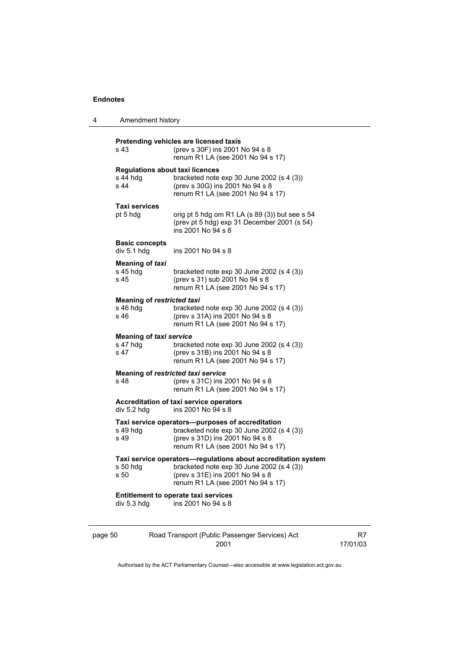4 Amendment history

|         | s 43                                                       | Pretending vehicles are licensed taxis<br>(prev s 30F) ins 2001 No 94 s 8<br>renum R1 LA (see 2001 No 94 s 17)                                                                     |                |
|---------|------------------------------------------------------------|------------------------------------------------------------------------------------------------------------------------------------------------------------------------------------|----------------|
|         | <b>Regulations about taxi licences</b><br>s 44 hdg<br>s 44 | bracketed note exp 30 June 2002 (s 4 (3))<br>(prev s 30G) ins 2001 No 94 s 8<br>renum R1 LA (see 2001 No 94 s 17)                                                                  |                |
|         | <b>Taxi services</b><br>pt 5 hdg                           | orig pt 5 hdg om R1 LA (s 89 (3)) but see s 54<br>(prev pt 5 hdg) exp 31 December 2001 (s 54)<br>ins 2001 No 94 s 8                                                                |                |
|         | <b>Basic concepts</b><br>div 5.1 hdg                       | ins 2001 No 94 s 8                                                                                                                                                                 |                |
|         | Meaning of taxi<br>s 45 hdg<br>s 45                        | bracketed note $exp 30$ June 2002 (s 4 (3))<br>(prev s 31) sub 2001 No 94 s 8<br>renum R1 LA (see 2001 No 94 s 17)                                                                 |                |
|         | <b>Meaning of restricted taxi</b><br>s 46 hdg<br>s 46      | bracketed note exp 30 June 2002 (s 4 (3))<br>(prev s 31A) ins 2001 No 94 s 8<br>renum R1 LA (see 2001 No 94 s 17)                                                                  |                |
|         | <b>Meaning of taxi service</b><br>s 47 hdg<br>s 47         | bracketed note $exp 30$ June 2002 (s 4 (3))<br>(prev s 31B) ins 2001 No 94 s 8<br>renum R1 LA (see 2001 No 94 s 17)                                                                |                |
|         | s 48                                                       | Meaning of restricted taxi service<br>(prev s 31C) ins 2001 No 94 s 8<br>renum R1 LA (see 2001 No 94 s 17)                                                                         |                |
|         | div 5.2 hdg                                                | <b>Accreditation of taxi service operators</b><br>ins 2001 No 94 s 8                                                                                                               |                |
|         | s 49 hdg<br>s 49                                           | Taxi service operators-purposes of accreditation<br>bracketed note exp 30 June 2002 (s 4 (3))<br>(prev s 31D) ins 2001 No 94 s 8<br>renum R1 LA (see 2001 No 94 s 17)              |                |
|         | $s50$ hdg<br>s 50                                          | Taxi service operators-regulations about accreditation system<br>bracketed note exp 30 June 2002 (s 4 (3))<br>(prev s 31E) ins 2001 No 94 s 8<br>renum R1 LA (see 2001 No 94 s 17) |                |
|         | div 5.3 hdg                                                | <b>Entitlement to operate taxi services</b><br>ins 2001 No 94 s 8                                                                                                                  |                |
| page 50 |                                                            | Road Transport (Public Passenger Services) Act<br>2001                                                                                                                             | R7<br>17/01/03 |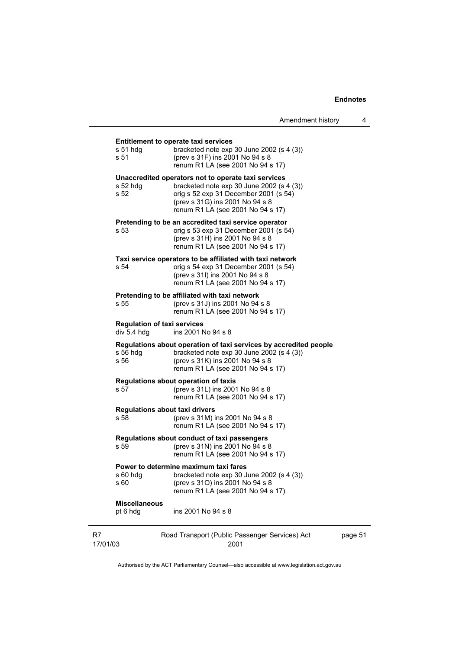| Amendment history |  |
|-------------------|--|
|-------------------|--|

| $s51$ hdg<br>s 51                                 | <b>Entitlement to operate taxi services</b><br>bracketed note exp 30 June 2002 (s 4 (3))<br>(prev s 31F) ins 2001 No 94 s 8<br>renum R1 LA (see 2001 No 94 s 17)                                                    |         |
|---------------------------------------------------|---------------------------------------------------------------------------------------------------------------------------------------------------------------------------------------------------------------------|---------|
| $s52$ hdg<br>s 52                                 | Unaccredited operators not to operate taxi services<br>bracketed note $exp 30$ June 2002 (s 4 (3))<br>orig s 52 exp 31 December 2001 (s 54)<br>(prev s 31G) ins 2001 No 94 s 8<br>renum R1 LA (see 2001 No 94 s 17) |         |
| s 53                                              | Pretending to be an accredited taxi service operator<br>orig s 53 exp 31 December 2001 (s 54)<br>(prev s 31H) ins 2001 No 94 s 8<br>renum R1 LA (see 2001 No 94 s 17)                                               |         |
| s 54                                              | Taxi service operators to be affiliated with taxi network<br>orig s 54 exp 31 December 2001 (s 54)<br>(prev s 31l) ins 2001 No 94 s 8<br>renum R1 LA (see 2001 No 94 s 17)                                          |         |
| s 55                                              | Pretending to be affiliated with taxi network<br>(prev s 31J) ins 2001 No 94 s 8<br>renum R1 LA (see 2001 No 94 s 17)                                                                                               |         |
| <b>Regulation of taxi services</b><br>div 5.4 hdg | ins 2001 No 94 s 8                                                                                                                                                                                                  |         |
| $s$ 56 hdg<br>s 56                                | Regulations about operation of taxi services by accredited people<br>bracketed note $exp 30$ June 2002 (s 4 (3))<br>(prev s 31K) ins 2001 No 94 s 8<br>renum R1 LA (see 2001 No 94 s 17)                            |         |
| s 57                                              | Regulations about operation of taxis<br>(prev s 31L) ins 2001 No 94 s 8<br>renum R1 LA (see 2001 No 94 s 17)                                                                                                        |         |
| <b>Regulations about taxi drivers</b><br>s 58     | (prev s 31M) ins 2001 No 94 s 8<br>renum R1 LA (see 2001 No 94 s 17)                                                                                                                                                |         |
| s 59                                              | Regulations about conduct of taxi passengers<br>(prev s 31N) ins 2001 No 94 s 8<br>renum R1 LA (see 2001 No 94 s 17)                                                                                                |         |
| s 60                                              | Power to determine maximum taxi fares<br>s 60 hdg bracketed note exp 30 June 2002 (s 4 (3))<br>(prev s 31O) ins 2001 No 94 s 8<br>renum R1 LA (see 2001 No 94 s 17)                                                 |         |
| <b>Miscellaneous</b><br>pt 6 hdg                  | ins 2001 No 94 s 8                                                                                                                                                                                                  |         |
|                                                   | Road Transport (Public Passenger Services) Act                                                                                                                                                                      | page 51 |

| R7       | Road Transport (Public Passenger Services) Act |
|----------|------------------------------------------------|
| 17/01/03 | 2001                                           |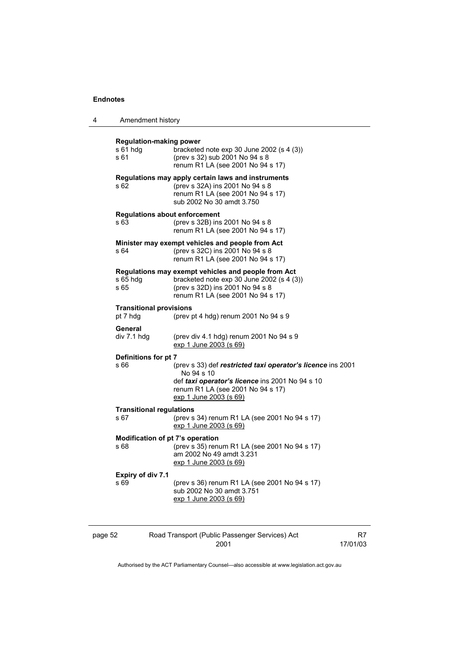| 4       | Amendment history                                   |                                                                                                                                                                                             |    |
|---------|-----------------------------------------------------|---------------------------------------------------------------------------------------------------------------------------------------------------------------------------------------------|----|
|         | <b>Regulation-making power</b><br>$s61$ hdg<br>s 61 | bracketed note $exp 30$ June 2002 (s 4 (3))<br>(prev s 32) sub 2001 No 94 s 8<br>renum R1 LA (see 2001 No 94 s 17)                                                                          |    |
|         | s 62                                                | Regulations may apply certain laws and instruments<br>(prev s 32A) ins 2001 No 94 s 8<br>renum R1 LA (see 2001 No 94 s 17)<br>sub 2002 No 30 amdt 3.750                                     |    |
|         | <b>Regulations about enforcement</b><br>s 63        | (prev s 32B) ins 2001 No 94 s 8<br>renum R1 LA (see 2001 No 94 s 17)                                                                                                                        |    |
|         | s 64                                                | Minister may exempt vehicles and people from Act<br>(prev s 32C) ins 2001 No 94 s 8<br>renum R1 LA (see 2001 No 94 s 17)                                                                    |    |
|         | s 65 hdg<br>s 65                                    | Regulations may exempt vehicles and people from Act<br>bracketed note $exp 30$ June 2002 (s 4 (3))<br>(prev s 32D) ins 2001 No 94 s 8<br>renum R1 LA (see 2001 No 94 s 17)                  |    |
|         | <b>Transitional provisions</b><br>pt 7 hdg          | (prev pt 4 hdg) renum 2001 No $94 s 9$                                                                                                                                                      |    |
|         | General<br>div 7.1 hdg                              | (prev div 4.1 hdg) renum 2001 No 94 s 9<br><u>exp 1 June 2003 (s 69)</u>                                                                                                                    |    |
|         | Definitions for pt 7<br>s 66                        | (prev s 33) def restricted taxi operator's licence ins 2001<br>No 94 s 10<br>def taxi operator's licence ins 2001 No 94 s 10<br>renum R1 LA (see 2001 No 94 s 17)<br>exp 1 June 2003 (s 69) |    |
|         | <b>Transitional regulations</b><br>s 67             | (prev s 34) renum R1 LA (see 2001 No 94 s 17)<br><u>exp 1 June 2003 (s 69)</u>                                                                                                              |    |
|         | Modification of pt 7's operation<br>s 68            | (prev s 35) renum R1 LA (see 2001 No 94 s 17)<br>am 2002 No 49 amdt 3.231<br>exp 1 June 2003 (s 69)                                                                                         |    |
|         | <b>Expiry of div 7.1</b><br>s 69                    | (prev s 36) renum R1 LA (see 2001 No 94 s 17)<br>sub 2002 No 30 amdt 3.751<br>exp 1 June 2003 (s 69)                                                                                        |    |
| page 52 |                                                     | Road Transport (Public Passenger Services) Act                                                                                                                                              | R7 |

17/01/03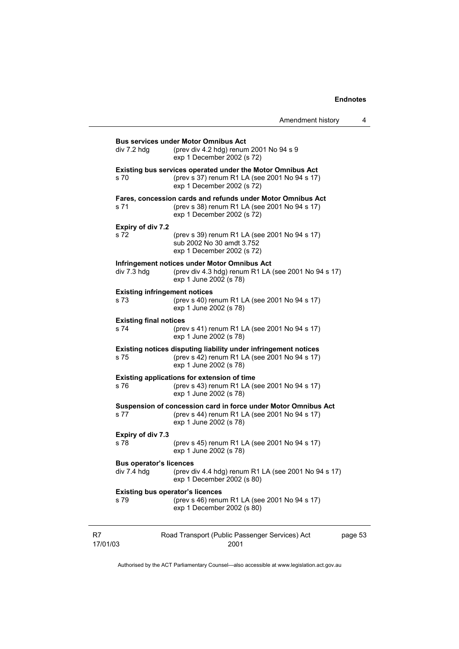|                                                 |                                                                                                                                                  | Amendment history | 4 |
|-------------------------------------------------|--------------------------------------------------------------------------------------------------------------------------------------------------|-------------------|---|
| div 7.2 hdq                                     | <b>Bus services under Motor Omnibus Act</b><br>(prev div 4.2 hdg) renum 2001 No 94 s 9<br>exp 1 December 2002 (s 72)                             |                   |   |
| s 70                                            | <b>Existing bus services operated under the Motor Omnibus Act</b><br>(prev s 37) renum R1 LA (see 2001 No 94 s 17)<br>exp 1 December 2002 (s 72) |                   |   |
| s 71                                            | Fares, concession cards and refunds under Motor Omnibus Act<br>(prev s 38) renum R1 LA (see 2001 No 94 s 17)<br>exp 1 December 2002 (s 72)       |                   |   |
| Expiry of div 7.2<br>s 72                       | (prev s 39) renum R1 LA (see 2001 No 94 s 17)<br>sub 2002 No 30 amdt 3.752<br>exp 1 December 2002 (s 72)                                         |                   |   |
| div 7.3 hdg                                     | Infringement notices under Motor Omnibus Act<br>(prev div 4.3 hdg) renum R1 LA (see 2001 No 94 s 17)<br>exp 1 June 2002 (s 78)                   |                   |   |
| <b>Existing infringement notices</b><br>s 73.   | (prev s 40) renum R1 LA (see 2001 No 94 s 17)<br>exp 1 June 2002 (s 78)                                                                          |                   |   |
| <b>Existing final notices</b><br>s 74           | (prev s 41) renum R1 LA (see 2001 No 94 s 17)<br>exp 1 June 2002 (s 78)                                                                          |                   |   |
| s 75                                            | Existing notices disputing liability under infringement notices<br>(prev s 42) renum R1 LA (see 2001 No 94 s 17)<br>exp 1 June 2002 (s 78)       |                   |   |
| s 76                                            | <b>Existing applications for extension of time</b><br>(prev s 43) renum R1 LA (see 2001 No 94 s 17)<br>exp 1 June 2002 (s 78)                    |                   |   |
| s 77                                            | Suspension of concession card in force under Motor Omnibus Act<br>(prev s 44) renum R1 LA (see 2001 No 94 s 17)<br>exp 1 June 2002 (s 78)        |                   |   |
| <b>Expiry of div 7.3</b><br>s 78                | (prev s 45) renum R1 LA (see 2001 No 94 s 17)<br>exp 1 June 2002 (s 78)                                                                          |                   |   |
| <b>Bus operator's licences</b><br>div 7.4 hdg   | (prev div 4.4 hdg) renum R1 LA (see 2001 No 94 s 17)<br>exp 1 December 2002 (s 80)                                                               |                   |   |
| <b>Existing bus operator's licences</b><br>s 79 | (prev s 46) renum R1 LA (see 2001 No 94 s 17)<br>exp 1 December 2002 (s 80)                                                                      |                   |   |

| - R7     | Road Transport (Public Passenger Services) Act | page 53 |
|----------|------------------------------------------------|---------|
| 17/01/03 | 2001                                           |         |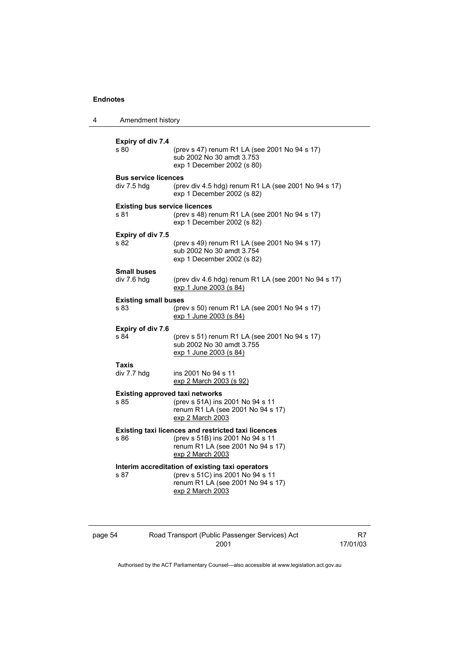| 4 | Amendment history                                                                                                           |                                                                                                                                                         |  |
|---|-----------------------------------------------------------------------------------------------------------------------------|---------------------------------------------------------------------------------------------------------------------------------------------------------|--|
|   | Expiry of div 7.4<br>s 80                                                                                                   | (prev s 47) renum R1 LA (see 2001 No 94 s 17)<br>sub 2002 No 30 amdt 3.753<br>exp 1 December 2002 (s 80)                                                |  |
|   | <b>Bus service licences</b><br>div 7.5 hdg                                                                                  | (prev div 4.5 hdg) renum R1 LA (see 2001 No 94 s 17)<br>exp 1 December 2002 (s 82)                                                                      |  |
|   | <b>Existing bus service licences</b><br>s 81<br>(prev s 48) renum R1 LA (see 2001 No 94 s 17)<br>exp 1 December 2002 (s 82) |                                                                                                                                                         |  |
|   | Expiry of div 7.5<br>s 82                                                                                                   | (prev s 49) renum R1 LA (see 2001 No 94 s 17)<br>sub 2002 No 30 amdt 3.754<br>exp 1 December 2002 (s 82)                                                |  |
|   | <b>Small buses</b><br>div 7.6 hdg                                                                                           | (prev div 4.6 hdg) renum R1 LA (see 2001 No 94 s 17)<br>exp 1 June 2003 (s 84)                                                                          |  |
|   | <b>Existing small buses</b><br>s 83                                                                                         | (prev s 50) renum R1 LA (see 2001 No 94 s 17)<br>exp 1 June 2003 (s 84)                                                                                 |  |
|   | Expiry of div 7.6<br>s 84                                                                                                   | (prev s 51) renum R1 LA (see 2001 No 94 s 17)<br>sub 2002 No 30 amdt 3.755<br>exp 1 June 2003 (s 84)                                                    |  |
|   | Taxis<br>div 7.7 hdg                                                                                                        | ins 2001 No 94 s 11<br>exp 2 March 2003 (s 92)                                                                                                          |  |
|   | <b>Existing approved taxi networks</b><br>s 85                                                                              | (prev s 51A) ins 2001 No 94 s 11<br>renum R1 LA (see 2001 No 94 s 17)<br>exp 2 March 2003                                                               |  |
|   | s 86                                                                                                                        | <b>Existing taxi licences and restricted taxi licences</b><br>(prev s 51B) ins 2001 No 94 s 11<br>renum R1 LA (see 2001 No 94 s 17)<br>exp 2 March 2003 |  |
|   | s 87                                                                                                                        | Interim accreditation of existing taxi operators<br>(prev s 51C) ins 2001 No 94 s 11<br>renum R1 LA (see 2001 No 94 s 17)<br>exp 2 March 2003           |  |

| page 54 |  |  |
|---------|--|--|
|         |  |  |

# page 54 Road Transport (Public Passenger Services) Act 2001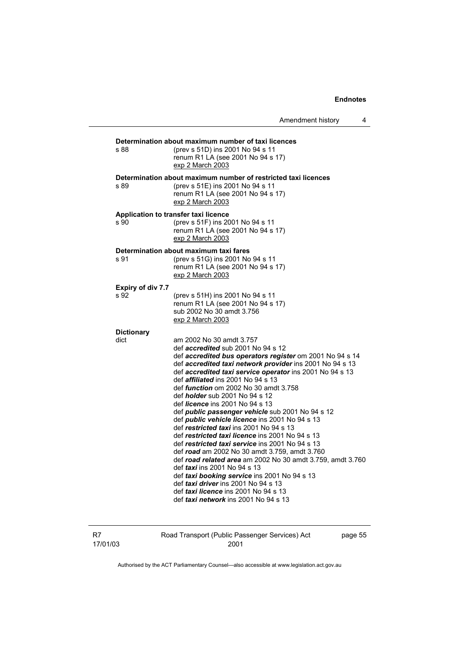| s 88              | Determination about maximum number of taxi licences<br>(prev s 51D) ins 2001 No 94 s 11<br>renum R1 LA (see 2001 No 94 s 17)<br>exp 2 March 2003 |
|-------------------|--------------------------------------------------------------------------------------------------------------------------------------------------|
|                   | Determination about maximum number of restricted taxi licences                                                                                   |
| s 89              | (prev s 51E) ins 2001 No 94 s 11                                                                                                                 |
|                   | renum R1 LA (see 2001 No 94 s 17)<br>exp 2 March 2003                                                                                            |
|                   | Application to transfer taxi licence                                                                                                             |
| s 90              | (prev s 51F) ins 2001 No 94 s 11<br>renum R1 LA (see 2001 No 94 s 17)<br>exp 2 March 2003                                                        |
|                   | Determination about maximum taxi fares                                                                                                           |
| s 91              | (prev s 51G) ins 2001 No 94 s 11<br>renum R1 LA (see 2001 No 94 s 17)<br>exp 2 March 2003                                                        |
| Expiry of div 7.7 |                                                                                                                                                  |
| s 92              | (prev s 51H) ins 2001 No 94 s 11                                                                                                                 |
|                   | renum R1 LA (see 2001 No 94 s 17)                                                                                                                |
|                   | sub 2002 No 30 amdt 3.756                                                                                                                        |
|                   | exp 2 March 2003                                                                                                                                 |
|                   |                                                                                                                                                  |
| <b>Dictionary</b> |                                                                                                                                                  |
| dict              | am 2002 No 30 amdt 3.757                                                                                                                         |
|                   | def <i>accredited</i> sub 2001 No 94 s 12                                                                                                        |
|                   | def accredited bus operators register om 2001 No 94 s 14                                                                                         |
|                   | def accredited taxi network provider ins 2001 No 94 s 13                                                                                         |
|                   | def accredited taxi service operator ins 2001 No 94 s 13                                                                                         |
|                   | def <i>affiliated</i> ins 2001 No 94 s 13                                                                                                        |
|                   | def <i>function</i> om 2002 No 30 amdt 3.758                                                                                                     |
|                   | def <i>holder</i> sub 2001 No 94 s 12                                                                                                            |
|                   | def <i>licence</i> ins 2001 No 94 s 13                                                                                                           |
|                   | def public passenger vehicle sub 2001 No 94 s 12                                                                                                 |
|                   | def <i>public</i> vehicle licence ins 2001 No 94 s 13                                                                                            |
|                   | def restricted taxi ins 2001 No 94 s 13                                                                                                          |
|                   | def restricted taxi licence ins 2001 No 94 s 13                                                                                                  |
|                   | def restricted taxi service ins 2001 No 94 s 13                                                                                                  |
|                   | def road am 2002 No 30 amdt 3.759, amdt 3.760                                                                                                    |
|                   | def road related area am 2002 No 30 amdt 3.759, amdt 3.760                                                                                       |
|                   | def <i>taxi</i> ins 2001 No 94 s 13                                                                                                              |
|                   | def taxi booking service ins 2001 No 94 s 13                                                                                                     |
|                   | def <i>taxi driver</i> ins 2001 No 94 s 13                                                                                                       |
|                   | def taxi licence ins 2001 No 94 s 13                                                                                                             |
|                   | def <i>taxi network</i> ins 2001 No 94 s 13                                                                                                      |

| - R7     | Road Transport (Public Passenger Services) Act | page 55 |
|----------|------------------------------------------------|---------|
| 17/01/03 | 2001                                           |         |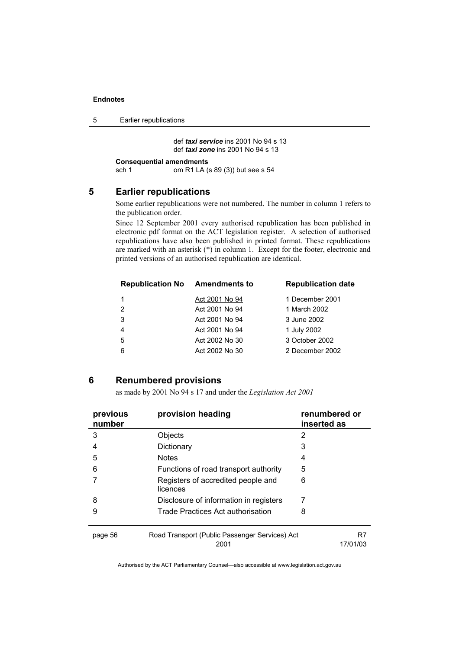5 Earlier republications

 def *taxi service* ins 2001 No 94 s 13 def *taxi zone* ins 2001 No 94 s 13

```
Consequential amendments<br>sch 1 om R1 LA (
```
om R1 LA (s 89 (3)) but see s 54

### **5 Earlier republications**

Some earlier republications were not numbered. The number in column 1 refers to the publication order.

Since 12 September 2001 every authorised republication has been published in electronic pdf format on the ACT legislation register. A selection of authorised republications have also been published in printed format. These republications are marked with an asterisk (\*) in column 1. Except for the footer, electronic and printed versions of an authorised republication are identical.

| <b>Republication No</b> | <b>Amendments to</b> | <b>Republication date</b> |
|-------------------------|----------------------|---------------------------|
|                         | Act 2001 No 94       | 1 December 2001           |
| $\overline{2}$          | Act 2001 No 94       | 1 March 2002              |
| 3                       | Act 2001 No 94       | 3 June 2002               |
| $\overline{4}$          | Act 2001 No 94       | 1 July 2002               |
| -5                      | Act 2002 No 30       | 3 October 2002            |
| 6                       | Act 2002 No 30       | 2 December 2002           |
|                         |                      |                           |

#### **6 Renumbered provisions**

as made by 2001 No 94 s 17 and under the *Legislation Act 2001* 

| previous<br>number | provision heading                                      | renumbered or<br>inserted as |
|--------------------|--------------------------------------------------------|------------------------------|
| 3                  | Objects                                                | 2                            |
| 4                  | Dictionary                                             | 3                            |
| 5                  | <b>Notes</b>                                           | 4                            |
| 6                  | Functions of road transport authority                  | 5                            |
|                    | Registers of accredited people and<br>licences         | 6                            |
| 8                  | Disclosure of information in registers                 | 7                            |
| 9                  | Trade Practices Act authorisation                      | 8                            |
| page 56            | Road Transport (Public Passenger Services) Act<br>2001 | R7<br>17/01/03               |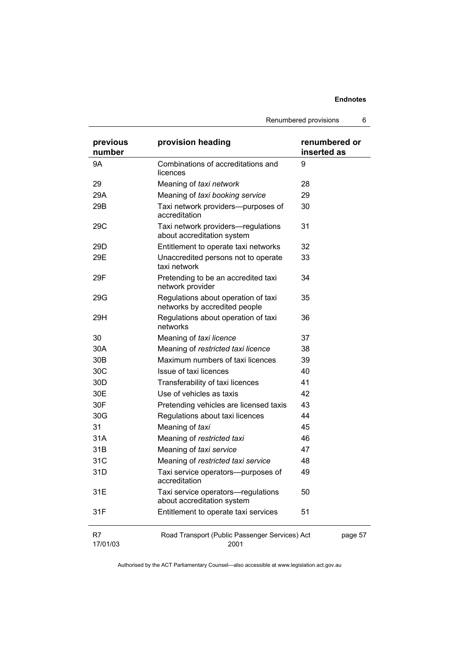Renumbered provisions 6

| previous<br>number | provision heading                                                    | renumbered or<br>inserted as |
|--------------------|----------------------------------------------------------------------|------------------------------|
| 9Α                 | Combinations of accreditations and<br>licences                       | 9                            |
| 29                 | Meaning of taxi network                                              | 28                           |
| 29A                | Meaning of taxi booking service                                      | 29                           |
| 29B                | Taxi network providers--purposes of<br>accreditation                 | 30                           |
| 29C                | Taxi network providers-regulations<br>about accreditation system     | 31                           |
| 29 <sub>D</sub>    | Entitlement to operate taxi networks                                 | 32                           |
| 29E                | Unaccredited persons not to operate<br>taxi network                  | 33                           |
| 29F                | Pretending to be an accredited taxi<br>network provider              | 34                           |
| 29G                | Regulations about operation of taxi<br>networks by accredited people | 35                           |
| 29H                | Regulations about operation of taxi<br>networks                      | 36                           |
| 30                 | Meaning of taxi licence                                              | 37                           |
| 30A                | Meaning of restricted taxi licence                                   | 38                           |
| 30 <sub>B</sub>    | Maximum numbers of taxi licences                                     | 39                           |
| 30C                | Issue of taxi licences                                               | 40                           |
| 30 <sub>D</sub>    | Transferability of taxi licences                                     | 41                           |
| 30E                | Use of vehicles as taxis                                             | 42                           |
| 30F                | Pretending vehicles are licensed taxis                               | 43                           |
| 30G                | Regulations about taxi licences                                      | 44                           |
| 31                 | Meaning of taxi                                                      | 45                           |
| 31A                | Meaning of restricted taxi                                           | 46                           |
| 31B                | Meaning of taxi service                                              | 47                           |
| 31C                | Meaning of restricted taxi service                                   | 48                           |
| 31D                | Taxi service operators--purposes of<br>accreditation                 | 49                           |
| 31E                | Taxi service operators-regulations<br>about accreditation system     | 50                           |
| 31F                | Entitlement to operate taxi services                                 | 51                           |
| R7<br>17/01/03     | Road Transport (Public Passenger Services) Act<br>2001               | page 57                      |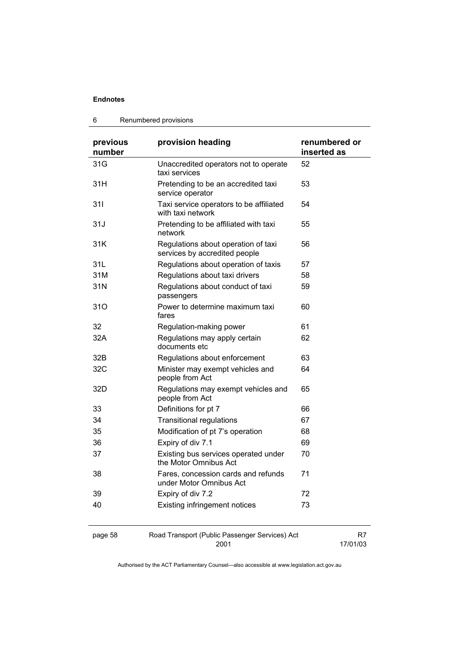#### 6 Renumbered provisions

| previous<br>number | provision heading                                                    | renumbered or<br>inserted as |
|--------------------|----------------------------------------------------------------------|------------------------------|
| 31G                | Unaccredited operators not to operate<br>taxi services               | 52                           |
| 31H                | Pretending to be an accredited taxi<br>service operator              | 53                           |
| 311                | Taxi service operators to be affiliated<br>with taxi network         | 54                           |
| 31J                | Pretending to be affiliated with taxi<br>network                     | 55                           |
| 31K                | Regulations about operation of taxi<br>services by accredited people | 56                           |
| 31L                | Regulations about operation of taxis                                 | 57                           |
| 31M                | Regulations about taxi drivers                                       | 58                           |
| 31N                | Regulations about conduct of taxi<br>passengers                      | 59                           |
| 31O                | Power to determine maximum taxi<br>fares                             | 60                           |
| 32                 | Regulation-making power                                              | 61                           |
| 32A                | Regulations may apply certain<br>documents etc                       | 62                           |
| 32B                | Regulations about enforcement                                        | 63                           |
| 32C                | Minister may exempt vehicles and<br>people from Act                  | 64                           |
| 32D                | Regulations may exempt vehicles and<br>people from Act               | 65                           |
| 33                 | Definitions for pt 7                                                 | 66                           |
| 34                 | <b>Transitional regulations</b>                                      | 67                           |
| 35                 | Modification of pt 7's operation                                     | 68                           |
| 36                 | Expiry of div 7.1                                                    | 69                           |
| 37                 | Existing bus services operated under<br>the Motor Omnibus Act        | 70                           |
| 38                 | Fares, concession cards and refunds<br>under Motor Omnibus Act       | 71                           |
| 39                 | Expiry of div 7.2                                                    | 72                           |
| 40                 | <b>Existing infringement notices</b>                                 | 73                           |
| page 58            | Road Transport (Public Passenger Services) Act<br>2001               | R7<br>17/01/03               |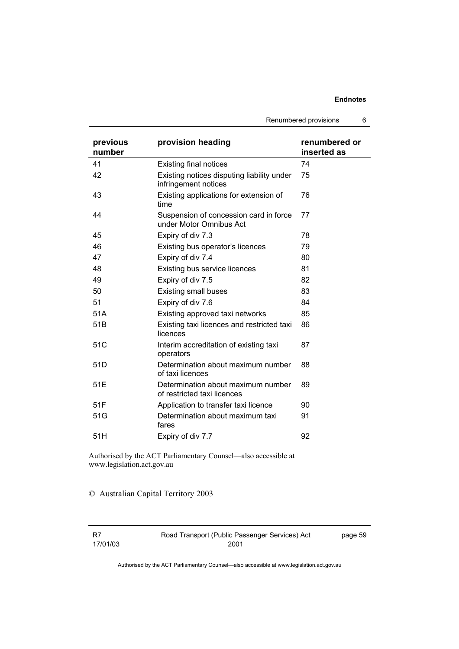Renumbered provisions 6

| previous<br>number | provision heading                                                  | renumbered or<br>inserted as |
|--------------------|--------------------------------------------------------------------|------------------------------|
| 41                 | <b>Existing final notices</b>                                      | 74                           |
| 42                 | Existing notices disputing liability under<br>infringement notices | 75                           |
| 43                 | Existing applications for extension of<br>time                     | 76                           |
| 44                 | Suspension of concession card in force<br>under Motor Omnibus Act  | 77                           |
| 45                 | Expiry of div 7.3                                                  | 78                           |
| 46                 | Existing bus operator's licences                                   | 79                           |
| 47                 | Expiry of div 7.4                                                  | 80                           |
| 48                 | Existing bus service licences                                      | 81                           |
| 49                 | Expiry of div 7.5                                                  | 82                           |
| 50                 | <b>Existing small buses</b>                                        | 83                           |
| 51                 | Expiry of div 7.6                                                  | 84                           |
| 51A                | Existing approved taxi networks                                    | 85                           |
| 51 <sub>B</sub>    | Existing taxi licences and restricted taxi<br>licences             | 86                           |
| 51C                | Interim accreditation of existing taxi<br>operators                | 87                           |
| 51D                | Determination about maximum number<br>of taxi licences             | 88                           |
| 51E                | Determination about maximum number<br>of restricted taxi licences  | 89                           |
| 51F                | Application to transfer taxi licence                               | 90                           |
| 51G                | Determination about maximum taxi<br>fares                          | 91                           |
| 51H                | Expiry of div 7.7                                                  | 92                           |

Authorised by the ACT Parliamentary Counsel—also accessible at www.legislation.act.gov.au

### © Australian Capital Territory 2003

R7 17/01/03 Road Transport (Public Passenger Services) Act 2001

page 59